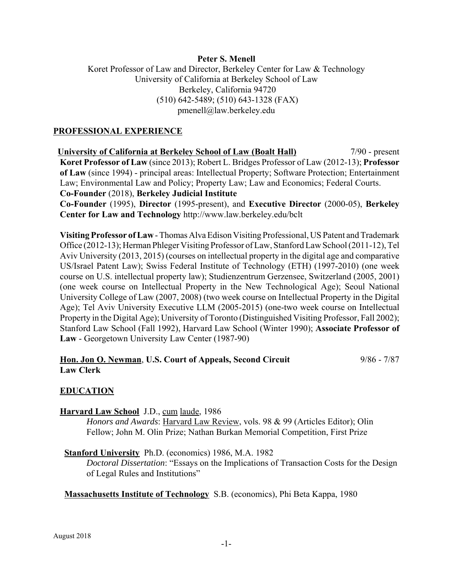### **Peter S. Menell**

# Koret Professor of Law and Director, Berkeley Center for Law & Technology University of California at Berkeley School of Law Berkeley, California 94720 (510) 642-5489; (510) 643-1328 (FAX) pmenell@law.berkeley.edu

### **PROFESSIONAL EXPERIENCE**

 **University of California at Berkeley School of Law (Boalt Hall)** 7/90 - present **Koret Professor of Law** (since 2013); Robert L. Bridges Professor of Law (2012-13); **Professor of Law** (since 1994) - principal areas: Intellectual Property; Software Protection; Entertainment Law; Environmental Law and Policy; Property Law; Law and Economics; Federal Courts. **Co-Founder** (2018), **Berkeley Judicial Institute Co-Founder** (1995), **Director** (1995-present), and **Executive Director** (2000-05), **Berkeley Center for Law and Technology** http://www.law.berkeley.edu/bclt

**Visiting Professor of Law** - Thomas Alva Edison Visiting Professional, US Patent and Trademark Office (2012-13); Herman Phleger Visiting Professor of Law, Stanford Law School (2011-12), Tel Aviv University (2013, 2015) (courses on intellectual property in the digital age and comparative US/Israel Patent Law); Swiss Federal Institute of Technology (ETH) (1997-2010) (one week course on U.S. intellectual property law); Studienzentrum Gerzensee, Switzerland (2005, 2001) (one week course on Intellectual Property in the New Technological Age); Seoul National University College of Law (2007, 2008) (two week course on Intellectual Property in the Digital Age); Tel Aviv University Executive LLM (2005-2015) (one-two week course on Intellectual Property in the Digital Age); University of Toronto (Distinguished Visiting Professor, Fall 2002); Stanford Law School (Fall 1992), Harvard Law School (Winter 1990); **Associate Professor of Law** - Georgetown University Law Center (1987-90)

#### **Hon. Jon O. Newman**, **U.S. Court of Appeals, Second Circuit** 9/86 - 7/87 **Law Clerk**

# **EDUCATION**

**Harvard Law School** J.D., cum laude, 1986

*Honors and Awards*: Harvard Law Review, vols. 98 & 99 (Articles Editor); Olin Fellow; John M. Olin Prize; Nathan Burkan Memorial Competition, First Prize

#### **Stanford University** Ph.D. (economics) 1986, M.A. 1982

*Doctoral Dissertation*: "Essays on the Implications of Transaction Costs for the Design of Legal Rules and Institutions"

**Massachusetts Institute of Technology** S.B. (economics), Phi Beta Kappa, 1980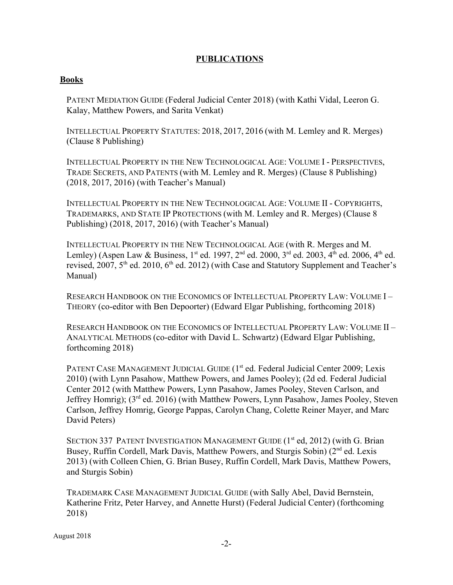# **PUBLICATIONS**

#### **Books**

PATENT MEDIATION GUIDE (Federal Judicial Center 2018) (with Kathi Vidal, Leeron G. Kalay, Matthew Powers, and Sarita Venkat)

INTELLECTUAL PROPERTY STATUTES: 2018, 2017, 2016 (with M. Lemley and R. Merges) (Clause 8 Publishing)

INTELLECTUAL PROPERTY IN THE NEW TECHNOLOGICAL AGE: VOLUME I - PERSPECTIVES, TRADE SECRETS, AND PATENTS (with M. Lemley and R. Merges) (Clause 8 Publishing) (2018, 2017, 2016) (with Teacher's Manual)

INTELLECTUAL PROPERTY IN THE NEW TECHNOLOGICAL AGE: VOLUME II - COPYRIGHTS, TRADEMARKS, AND STATE IP PROTECTIONS (with M. Lemley and R. Merges) (Clause 8 Publishing) (2018, 2017, 2016) (with Teacher's Manual)

INTELLECTUAL PROPERTY IN THE NEW TECHNOLOGICAL AGE (with R. Merges and M. Lemley) (Aspen Law & Business, 1<sup>st</sup> ed. 1997, 2<sup>nd</sup> ed. 2000, 3<sup>rd</sup> ed. 2003, 4<sup>th</sup> ed. 2006, 4<sup>th</sup> ed. revised,  $2007$ ,  $5<sup>th</sup>$  ed. 2010,  $6<sup>th</sup>$  ed. 2012) (with Case and Statutory Supplement and Teacher's Manual)

RESEARCH HANDBOOK ON THE ECONOMICS OF INTELLECTUAL PROPERTY LAW: VOLUME I – THEORY (co-editor with Ben Depoorter) (Edward Elgar Publishing, forthcoming 2018)

RESEARCH HANDBOOK ON THE ECONOMICS OF INTELLECTUAL PROPERTY LAW: VOLUME II – ANALYTICAL METHODS (co-editor with David L. Schwartz) (Edward Elgar Publishing, forthcoming 2018)

PATENT CASE MANAGEMENT JUDICIAL GUIDE (1<sup>st</sup> ed. Federal Judicial Center 2009; Lexis 2010) (with Lynn Pasahow, Matthew Powers, and James Pooley); (2d ed. Federal Judicial Center 2012 (with Matthew Powers, Lynn Pasahow, James Pooley, Steven Carlson, and Jeffrey Homrig); (3rd ed. 2016) (with Matthew Powers, Lynn Pasahow, James Pooley, Steven Carlson, Jeffrey Homrig, George Pappas, Carolyn Chang, Colette Reiner Mayer, and Marc David Peters)

SECTION 337 PATENT INVESTIGATION MANAGEMENT GUIDE  $(1<sup>st</sup> ed, 2012)$  (with G. Brian Busey, Ruffin Cordell, Mark Davis, Matthew Powers, and Sturgis Sobin)  $(2^{nd}$  ed. Lexis 2013) (with Colleen Chien, G. Brian Busey, Ruffin Cordell, Mark Davis, Matthew Powers, and Sturgis Sobin)

TRADEMARK CASE MANAGEMENT JUDICIAL GUIDE (with Sally Abel, David Bernstein, Katherine Fritz, Peter Harvey, and Annette Hurst) (Federal Judicial Center) (forthcoming 2018)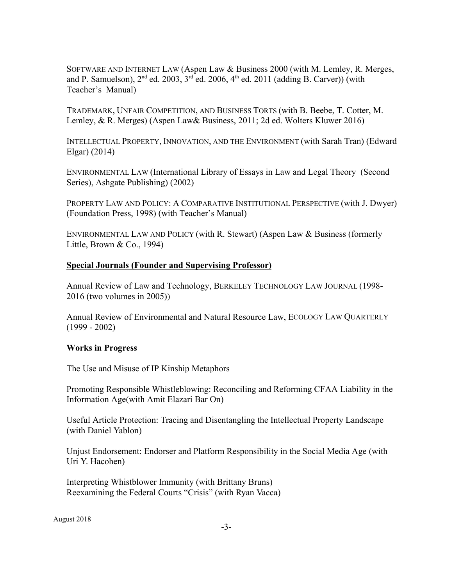SOFTWARE AND INTERNET LAW (Aspen Law & Business 2000 (with M. Lemley, R. Merges, and P. Samuelson),  $2<sup>nd</sup>$  ed. 2003,  $3<sup>rd</sup>$  ed. 2006,  $4<sup>th</sup>$  ed. 2011 (adding B. Carver)) (with Teacher's Manual)

TRADEMARK, UNFAIR COMPETITION, AND BUSINESS TORTS (with B. Beebe, T. Cotter, M. Lemley, & R. Merges) (Aspen Law& Business, 2011; 2d ed. Wolters Kluwer 2016)

INTELLECTUAL PROPERTY, INNOVATION, AND THE ENVIRONMENT (with Sarah Tran) (Edward Elgar) (2014)

ENVIRONMENTAL LAW (International Library of Essays in Law and Legal Theory (Second Series), Ashgate Publishing) (2002)

PROPERTY LAW AND POLICY: A COMPARATIVE INSTITUTIONAL PERSPECTIVE (with J. Dwyer) (Foundation Press, 1998) (with Teacher's Manual)

ENVIRONMENTAL LAW AND POLICY (with R. Stewart) (Aspen Law & Business (formerly Little, Brown & Co., 1994)

#### **Special Journals (Founder and Supervising Professor)**

Annual Review of Law and Technology, BERKELEY TECHNOLOGY LAW JOURNAL (1998- 2016 (two volumes in 2005))

Annual Review of Environmental and Natural Resource Law, ECOLOGY LAW QUARTERLY (1999 - 2002)

#### **Works in Progress**

The Use and Misuse of IP Kinship Metaphors

Promoting Responsible Whistleblowing: Reconciling and Reforming CFAA Liability in the Information Age(with Amit Elazari Bar On)

Useful Article Protection: Tracing and Disentangling the Intellectual Property Landscape (with Daniel Yablon)

Unjust Endorsement: Endorser and Platform Responsibility in the Social Media Age (with Uri Y. Hacohen)

Interpreting Whistblower Immunity (with Brittany Bruns) Reexamining the Federal Courts "Crisis" (with Ryan Vacca)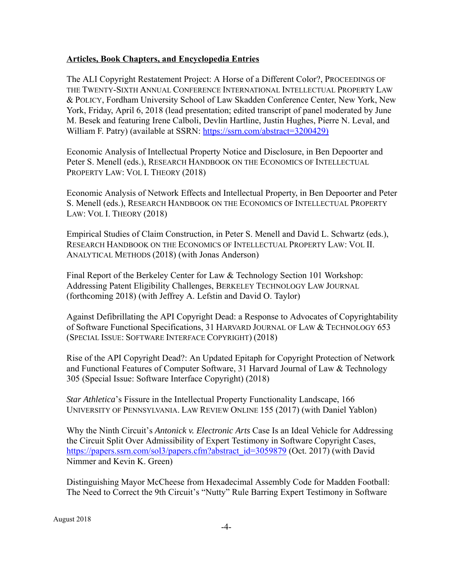#### **Articles, Book Chapters, and Encyclopedia Entries**

The ALI Copyright Restatement Project: A Horse of a Different Color?, PROCEEDINGS OF THE TWENTY-SIXTH ANNUAL CONFERENCE INTERNATIONAL INTELLECTUAL PROPERTY LAW & POLICY, Fordham University School of Law Skadden Conference Center, New York, New York, Friday, April 6, 2018 (lead presentation; edited transcript of panel moderated by June M. Besek and featuring Irene Calboli, Devlin Hartline, Justin Hughes, Pierre N. Leval, and William F. Patry) (available at SSRN: https://ssrn.com/abstract=3200429)

Economic Analysis of Intellectual Property Notice and Disclosure, in Ben Depoorter and Peter S. Menell (eds.), RESEARCH HANDBOOK ON THE ECONOMICS OF INTELLECTUAL PROPERTY LAW: VOL I. THEORY (2018)

Economic Analysis of Network Effects and Intellectual Property, in Ben Depoorter and Peter S. Menell (eds.), RESEARCH HANDBOOK ON THE ECONOMICS OF INTELLECTUAL PROPERTY LAW: VOL I. THEORY (2018)

Empirical Studies of Claim Construction, in Peter S. Menell and David L. Schwartz (eds.), RESEARCH HANDBOOK ON THE ECONOMICS OF INTELLECTUAL PROPERTY LAW: VOL II. ANALYTICAL METHODS (2018) (with Jonas Anderson)

Final Report of the Berkeley Center for Law & Technology Section 101 Workshop: Addressing Patent Eligibility Challenges, BERKELEY TECHNOLOGY LAW JOURNAL (forthcoming 2018) (with Jeffrey A. Lefstin and David O. Taylor)

Against Defibrillating the API Copyright Dead: a Response to Advocates of Copyrightability of Software Functional Specifications, 31 HARVARD JOURNAL OF LAW & TECHNOLOGY 653 (SPECIAL ISSUE: SOFTWARE INTERFACE COPYRIGHT) (2018)

Rise of the API Copyright Dead?: An Updated Epitaph for Copyright Protection of Network and Functional Features of Computer Software, 31 Harvard Journal of Law & Technology 305 (Special Issue: Software Interface Copyright) (2018)

*Star Athletica*'s Fissure in the Intellectual Property Functionality Landscape, 166 UNIVERSITY OF PENNSYLVANIA. LAW REVIEW ONLINE 155 (2017) (with Daniel Yablon)

Why the Ninth Circuit's *Antonick v. Electronic Arts* Case Is an Ideal Vehicle for Addressing the Circuit Split Over Admissibility of Expert Testimony in Software Copyright Cases, https://papers.ssrn.com/sol3/papers.cfm?abstract\_id=3059879 (Oct. 2017) (with David Nimmer and Kevin K. Green)

Distinguishing Mayor McCheese from Hexadecimal Assembly Code for Madden Football: The Need to Correct the 9th Circuit's "Nutty" Rule Barring Expert Testimony in Software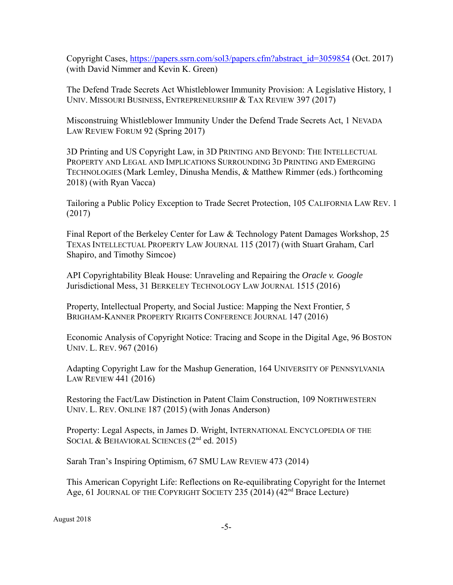Copyright Cases, https://papers.ssrn.com/sol3/papers.cfm?abstract\_id=3059854 (Oct. 2017) (with David Nimmer and Kevin K. Green)

The Defend Trade Secrets Act Whistleblower Immunity Provision: A Legislative History, 1 UNIV. MISSOURI BUSINESS, ENTREPRENEURSHIP & TAX REVIEW 397 (2017)

Misconstruing Whistleblower Immunity Under the Defend Trade Secrets Act, 1 NEVADA LAW REVIEW FORUM 92 (Spring 2017)

3D Printing and US Copyright Law, in 3D PRINTING AND BEYOND: THE INTELLECTUAL PROPERTY AND LEGAL AND IMPLICATIONS SURROUNDING 3D PRINTING AND EMERGING TECHNOLOGIES (Mark Lemley, Dinusha Mendis, & Matthew Rimmer (eds.) forthcoming 2018) (with Ryan Vacca)

Tailoring a Public Policy Exception to Trade Secret Protection, 105 CALIFORNIA LAW REV. 1 (2017)

Final Report of the Berkeley Center for Law & Technology Patent Damages Workshop, 25 TEXAS INTELLECTUAL PROPERTY LAW JOURNAL 115 (2017) (with Stuart Graham, Carl Shapiro, and Timothy Simcoe)

API Copyrightability Bleak House: Unraveling and Repairing the *Oracle v. Google* Jurisdictional Mess, 31 BERKELEY TECHNOLOGY LAW JOURNAL 1515 (2016)

Property, Intellectual Property, and Social Justice: Mapping the Next Frontier, 5 BRIGHAM-KANNER PROPERTY RIGHTS CONFERENCE JOURNAL 147 (2016)

Economic Analysis of Copyright Notice: Tracing and Scope in the Digital Age, 96 BOSTON UNIV. L. REV. 967 (2016)

Adapting Copyright Law for the Mashup Generation, 164 UNIVERSITY OF PENNSYLVANIA LAW REVIEW 441 (2016)

Restoring the Fact/Law Distinction in Patent Claim Construction, 109 NORTHWESTERN UNIV. L. REV. ONLINE 187 (2015) (with Jonas Anderson)

Property: Legal Aspects, in James D. Wright, INTERNATIONAL ENCYCLOPEDIA OF THE SOCIAL & BEHAVIORAL SCIENCES (2<sup>nd</sup> ed. 2015)

Sarah Tran's Inspiring Optimism, 67 SMU LAW REVIEW 473 (2014)

This American Copyright Life: Reflections on Re-equilibrating Copyright for the Internet Age, 61 JOURNAL OF THE COPYRIGHT SOCIETY 235 (2014)  $(42<sup>nd</sup>$  Brace Lecture)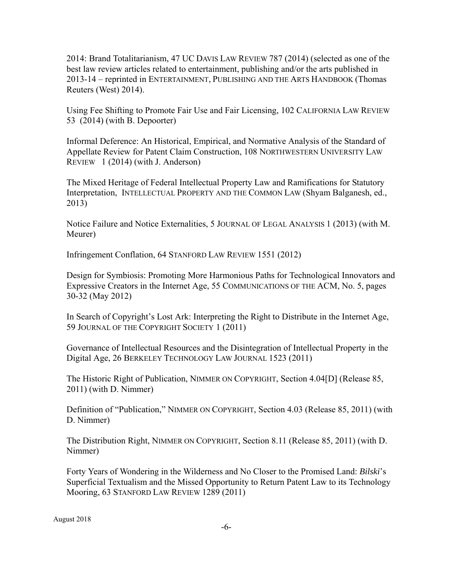2014: Brand Totalitarianism, 47 UC DAVIS LAW REVIEW 787 (2014) (selected as one of the best law review articles related to entertainment, publishing and/or the arts published in 2013-14 – reprinted in ENTERTAINMENT, PUBLISHING AND THE ARTS HANDBOOK (Thomas Reuters (West) 2014).

Using Fee Shifting to Promote Fair Use and Fair Licensing, 102 CALIFORNIA LAW REVIEW 53 (2014) (with B. Depoorter)

Informal Deference: An Historical, Empirical, and Normative Analysis of the Standard of Appellate Review for Patent Claim Construction, 108 NORTHWESTERN UNIVERSITY LAW REVIEW 1 (2014) (with J. Anderson)

The Mixed Heritage of Federal Intellectual Property Law and Ramifications for Statutory Interpretation, INTELLECTUAL PROPERTY AND THE COMMON LAW (Shyam Balganesh, ed., 2013)

Notice Failure and Notice Externalities, 5 JOURNAL OF LEGAL ANALYSIS 1 (2013) (with M. Meurer)

Infringement Conflation, 64 STANFORD LAW REVIEW 1551 (2012)

Design for Symbiosis: Promoting More Harmonious Paths for Technological Innovators and Expressive Creators in the Internet Age, 55 COMMUNICATIONS OF THE ACM, No. 5, pages 30-32 (May 2012)

In Search of Copyright's Lost Ark: Interpreting the Right to Distribute in the Internet Age, 59 JOURNAL OF THE COPYRIGHT SOCIETY 1 (2011)

Governance of Intellectual Resources and the Disintegration of Intellectual Property in the Digital Age, 26 BERKELEY TECHNOLOGY LAW JOURNAL 1523 (2011)

The Historic Right of Publication, NIMMER ON COPYRIGHT, Section 4.04[D] (Release 85, 2011) (with D. Nimmer)

Definition of "Publication," NIMMER ON COPYRIGHT, Section 4.03 (Release 85, 2011) (with D. Nimmer)

The Distribution Right, NIMMER ON COPYRIGHT, Section 8.11 (Release 85, 2011) (with D. Nimmer)

Forty Years of Wondering in the Wilderness and No Closer to the Promised Land: *Bilski*'s Superficial Textualism and the Missed Opportunity to Return Patent Law to its Technology Mooring, 63 STANFORD LAW REVIEW 1289 (2011)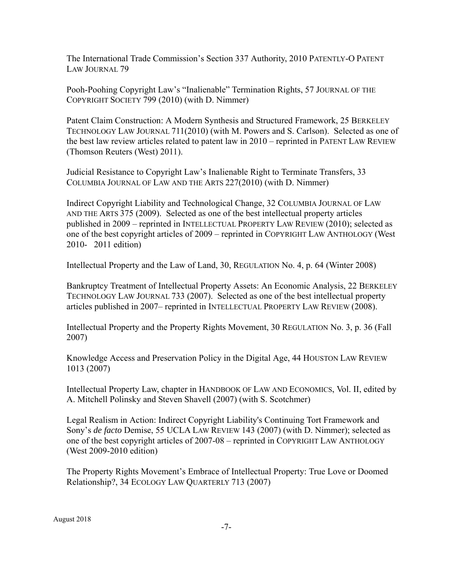The International Trade Commission's Section 337 Authority, 2010 PATENTLY-O PATENT LAW JOURNAL 79

Pooh-Poohing Copyright Law's "Inalienable" Termination Rights, 57 JOURNAL OF THE COPYRIGHT SOCIETY 799 (2010) (with D. Nimmer)

Patent Claim Construction: A Modern Synthesis and Structured Framework, 25 BERKELEY TECHNOLOGY LAW JOURNAL 711(2010) (with M. Powers and S. Carlson). Selected as one of the best law review articles related to patent law in 2010 – reprinted in PATENT LAW REVIEW (Thomson Reuters (West) 2011).

Judicial Resistance to Copyright Law's Inalienable Right to Terminate Transfers, 33 COLUMBIA JOURNAL OF LAW AND THE ARTS 227(2010) (with D. Nimmer)

Indirect Copyright Liability and Technological Change, 32 COLUMBIA JOURNAL OF LAW AND THE ARTS 375 (2009). Selected as one of the best intellectual property articles published in 2009 – reprinted in INTELLECTUAL PROPERTY LAW REVIEW (2010); selected as one of the best copyright articles of 2009 – reprinted in COPYRIGHT LAW ANTHOLOGY (West 2010- 2011 edition)

Intellectual Property and the Law of Land, 30, REGULATION No. 4, p. 64 (Winter 2008)

Bankruptcy Treatment of Intellectual Property Assets: An Economic Analysis, 22 BERKELEY TECHNOLOGY LAW JOURNAL 733 (2007). Selected as one of the best intellectual property articles published in 2007– reprinted in INTELLECTUAL PROPERTY LAW REVIEW (2008).

Intellectual Property and the Property Rights Movement, 30 REGULATION No. 3, p. 36 (Fall 2007)

Knowledge Access and Preservation Policy in the Digital Age, 44 HOUSTON LAW REVIEW 1013 (2007)

Intellectual Property Law, chapter in HANDBOOK OF LAW AND ECONOMICS, Vol. II, edited by A. Mitchell Polinsky and Steven Shavell (2007) (with S. Scotchmer)

Legal Realism in Action: Indirect Copyright Liability's Continuing Tort Framework and Sony's *de facto* Demise, 55 UCLA LAW REVIEW 143 (2007) (with D. Nimmer); selected as one of the best copyright articles of 2007-08 – reprinted in COPYRIGHT LAW ANTHOLOGY (West 2009-2010 edition)

The Property Rights Movement's Embrace of Intellectual Property: True Love or Doomed Relationship?, 34 ECOLOGY LAW QUARTERLY 713 (2007)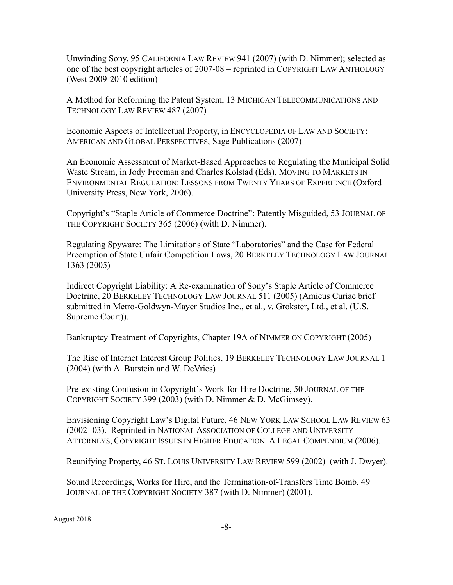Unwinding Sony, 95 CALIFORNIA LAW REVIEW 941 (2007) (with D. Nimmer); selected as one of the best copyright articles of 2007-08 – reprinted in COPYRIGHT LAW ANTHOLOGY (West 2009-2010 edition)

A Method for Reforming the Patent System, 13 MICHIGAN TELECOMMUNICATIONS AND TECHNOLOGY LAW REVIEW 487 (2007)

Economic Aspects of Intellectual Property, in ENCYCLOPEDIA OF LAW AND SOCIETY: AMERICAN AND GLOBAL PERSPECTIVES, Sage Publications (2007)

An Economic Assessment of Market-Based Approaches to Regulating the Municipal Solid Waste Stream, in Jody Freeman and Charles Kolstad (Eds), MOVING TO MARKETS IN ENVIRONMENTAL REGULATION: LESSONS FROM TWENTY YEARS OF EXPERIENCE (Oxford University Press, New York, 2006).

Copyright's "Staple Article of Commerce Doctrine": Patently Misguided, 53 JOURNAL OF THE COPYRIGHT SOCIETY 365 (2006) (with D. Nimmer).

Regulating Spyware: The Limitations of State "Laboratories" and the Case for Federal Preemption of State Unfair Competition Laws, 20 BERKELEY TECHNOLOGY LAW JOURNAL 1363 (2005)

Indirect Copyright Liability: A Re-examination of Sony's Staple Article of Commerce Doctrine, 20 BERKELEY TECHNOLOGY LAW JOURNAL 511 (2005) (Amicus Curiae brief submitted in Metro-Goldwyn-Mayer Studios Inc., et al., v. Grokster, Ltd., et al. (U.S. Supreme Court)).

Bankruptcy Treatment of Copyrights, Chapter 19A of NIMMER ON COPYRIGHT (2005)

The Rise of Internet Interest Group Politics, 19 BERKELEY TECHNOLOGY LAW JOURNAL 1 (2004) (with A. Burstein and W. DeVries)

Pre-existing Confusion in Copyright's Work-for-Hire Doctrine, 50 JOURNAL OF THE COPYRIGHT SOCIETY 399 (2003) (with D. Nimmer & D. McGimsey).

Envisioning Copyright Law's Digital Future, 46 NEW YORK LAW SCHOOL LAW REVIEW 63 (2002- 03). Reprinted in NATIONAL ASSOCIATION OF COLLEGE AND UNIVERSITY ATTORNEYS, COPYRIGHT ISSUES IN HIGHER EDUCATION: A LEGAL COMPENDIUM (2006).

Reunifying Property, 46 ST. LOUIS UNIVERSITY LAW REVIEW 599 (2002) (with J. Dwyer).

Sound Recordings, Works for Hire, and the Termination-of-Transfers Time Bomb, 49 JOURNAL OF THE COPYRIGHT SOCIETY 387 (with D. Nimmer) (2001).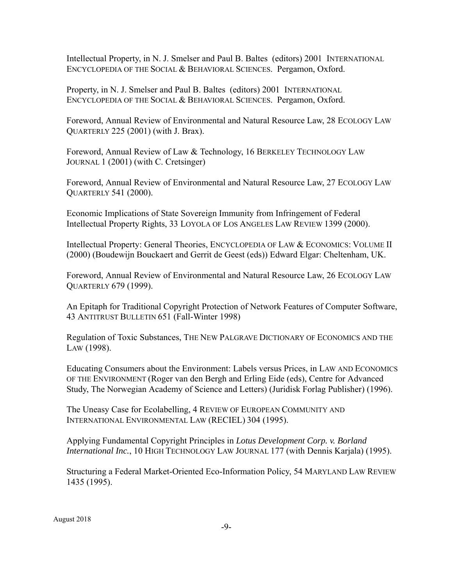Intellectual Property, in N. J. Smelser and Paul B. Baltes (editors) 2001 INTERNATIONAL ENCYCLOPEDIA OF THE SOCIAL & BEHAVIORAL SCIENCES. Pergamon, Oxford.

Property, in N. J. Smelser and Paul B. Baltes (editors) 2001 INTERNATIONAL ENCYCLOPEDIA OF THE SOCIAL & BEHAVIORAL SCIENCES. Pergamon, Oxford.

Foreword, Annual Review of Environmental and Natural Resource Law, 28 ECOLOGY LAW QUARTERLY 225 (2001) (with J. Brax).

Foreword, Annual Review of Law & Technology, 16 BERKELEY TECHNOLOGY LAW JOURNAL 1 (2001) (with C. Cretsinger)

Foreword, Annual Review of Environmental and Natural Resource Law, 27 ECOLOGY LAW QUARTERLY 541 (2000).

Economic Implications of State Sovereign Immunity from Infringement of Federal Intellectual Property Rights, 33 LOYOLA OF LOS ANGELES LAW REVIEW 1399 (2000).

Intellectual Property: General Theories, ENCYCLOPEDIA OF LAW & ECONOMICS: VOLUME II (2000) (Boudewijn Bouckaert and Gerrit de Geest (eds)) Edward Elgar: Cheltenham, UK.

Foreword, Annual Review of Environmental and Natural Resource Law, 26 ECOLOGY LAW QUARTERLY 679 (1999).

An Epitaph for Traditional Copyright Protection of Network Features of Computer Software, 43 ANTITRUST BULLETIN 651 (Fall-Winter 1998)

Regulation of Toxic Substances, THE NEW PALGRAVE DICTIONARY OF ECONOMICS AND THE LAW (1998).

Educating Consumers about the Environment: Labels versus Prices, in LAW AND ECONOMICS OF THE ENVIRONMENT (Roger van den Bergh and Erling Eide (eds), Centre for Advanced Study, The Norwegian Academy of Science and Letters) (Juridisk Forlag Publisher) (1996).

The Uneasy Case for Ecolabelling, 4 REVIEW OF EUROPEAN COMMUNITY AND INTERNATIONAL ENVIRONMENTAL LAW (RECIEL) 304 (1995).

Applying Fundamental Copyright Principles in *Lotus Development Corp. v. Borland International Inc.*, 10 HIGH TECHNOLOGY LAW JOURNAL 177 (with Dennis Karjala) (1995).

Structuring a Federal Market-Oriented Eco-Information Policy, 54 MARYLAND LAW REVIEW 1435 (1995).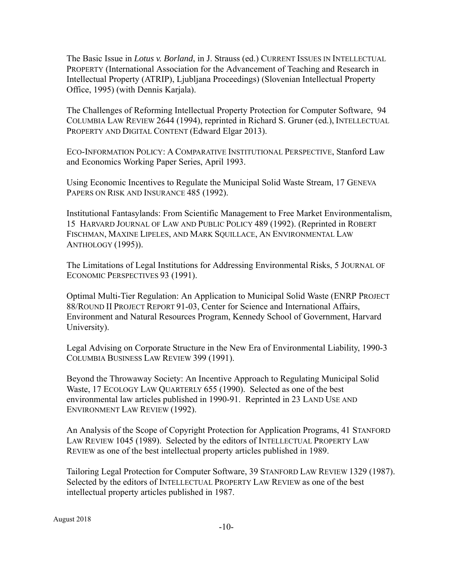The Basic Issue in *Lotus v. Borland*, in J. Strauss (ed.) CURRENT ISSUES IN INTELLECTUAL PROPERTY (International Association for the Advancement of Teaching and Research in Intellectual Property (ATRIP), Ljubljana Proceedings) (Slovenian Intellectual Property Office, 1995) (with Dennis Karjala).

The Challenges of Reforming Intellectual Property Protection for Computer Software, 94 COLUMBIA LAW REVIEW 2644 (1994), reprinted in Richard S. Gruner (ed.), INTELLECTUAL PROPERTY AND DIGITAL CONTENT (Edward Elgar 2013).

ECO-INFORMATION POLICY: A COMPARATIVE INSTITUTIONAL PERSPECTIVE, Stanford Law and Economics Working Paper Series, April 1993.

Using Economic Incentives to Regulate the Municipal Solid Waste Stream, 17 GENEVA PAPERS ON RISK AND INSURANCE 485 (1992).

Institutional Fantasylands: From Scientific Management to Free Market Environmentalism, 15 HARVARD JOURNAL OF LAW AND PUBLIC POLICY 489 (1992). (Reprinted in ROBERT FISCHMAN, MAXINE LIPELES, AND MARK SQUILLACE, AN ENVIRONMENTAL LAW ANTHOLOGY (1995)).

The Limitations of Legal Institutions for Addressing Environmental Risks, 5 JOURNAL OF ECONOMIC PERSPECTIVES 93 (1991).

Optimal Multi-Tier Regulation: An Application to Municipal Solid Waste (ENRP PROJECT 88/ROUND II PROJECT REPORT 91-03, Center for Science and International Affairs, Environment and Natural Resources Program, Kennedy School of Government, Harvard University).

Legal Advising on Corporate Structure in the New Era of Environmental Liability, 1990-3 COLUMBIA BUSINESS LAW REVIEW 399 (1991).

Beyond the Throwaway Society: An Incentive Approach to Regulating Municipal Solid Waste, 17 ECOLOGY LAW QUARTERLY 655 (1990). Selected as one of the best environmental law articles published in 1990-91. Reprinted in 23 LAND USE AND ENVIRONMENT LAW REVIEW (1992).

An Analysis of the Scope of Copyright Protection for Application Programs, 41 STANFORD LAW REVIEW 1045 (1989). Selected by the editors of INTELLECTUAL PROPERTY LAW REVIEW as one of the best intellectual property articles published in 1989.

Tailoring Legal Protection for Computer Software, 39 STANFORD LAW REVIEW 1329 (1987). Selected by the editors of INTELLECTUAL PROPERTY LAW REVIEW as one of the best intellectual property articles published in 1987.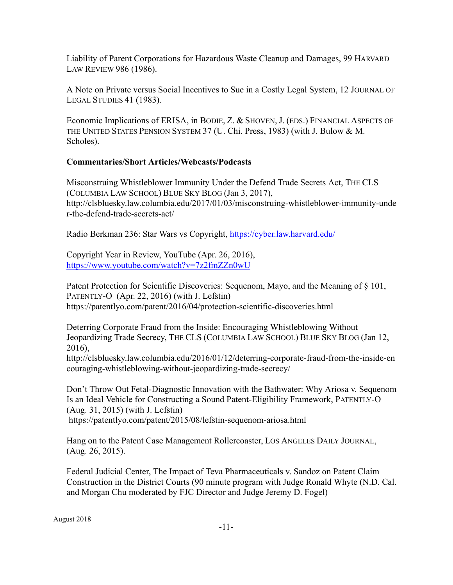Liability of Parent Corporations for Hazardous Waste Cleanup and Damages, 99 HARVARD LAW REVIEW 986 (1986).

A Note on Private versus Social Incentives to Sue in a Costly Legal System, 12 JOURNAL OF LEGAL STUDIES 41 (1983).

Economic Implications of ERISA, in BODIE, Z. & SHOVEN, J. (EDS.) FINANCIAL ASPECTS OF THE UNITED STATES PENSION SYSTEM 37 (U. Chi. Press, 1983) (with J. Bulow & M. Scholes).

# **Commentaries/Short Articles/Webcasts/Podcasts**

Misconstruing Whistleblower Immunity Under the Defend Trade Secrets Act, THE CLS (COLUMBIA LAW SCHOOL) BLUE SKY BLOG (Jan 3, 2017), http://clsbluesky.law.columbia.edu/2017/01/03/misconstruing-whistleblower-immunity-unde r-the-defend-trade-secrets-act/

Radio Berkman 236: Star Wars vs Copyright, https://cyber.law.harvard.edu/

Copyright Year in Review, YouTube (Apr. 26, 2016), https://www.youtube.com/watch?v=7z2fmZZn0wU

Patent Protection for Scientific Discoveries: Sequenom, Mayo, and the Meaning of § 101, PATENTLY-O (Apr. 22, 2016) (with J. Lefstin) https://patentlyo.com/patent/2016/04/protection-scientific-discoveries.html

Deterring Corporate Fraud from the Inside: Encouraging Whistleblowing Without Jeopardizing Trade Secrecy, THE CLS (COLUMBIA LAW SCHOOL) BLUE SKY BLOG (Jan 12, 2016),

http://clsbluesky.law.columbia.edu/2016/01/12/deterring-corporate-fraud-from-the-inside-en couraging-whistleblowing-without-jeopardizing-trade-secrecy/

Don't Throw Out Fetal-Diagnostic Innovation with the Bathwater: Why Ariosa v. Sequenom Is an Ideal Vehicle for Constructing a Sound Patent-Eligibility Framework, PATENTLY-O (Aug. 31, 2015) (with J. Lefstin) https://patentlyo.com/patent/2015/08/lefstin-sequenom-ariosa.html

Hang on to the Patent Case Management Rollercoaster, LOS ANGELES DAILY JOURNAL, (Aug. 26, 2015).

Federal Judicial Center, The Impact of Teva Pharmaceuticals v. Sandoz on Patent Claim Construction in the District Courts (90 minute program with Judge Ronald Whyte (N.D. Cal. and Morgan Chu moderated by FJC Director and Judge Jeremy D. Fogel)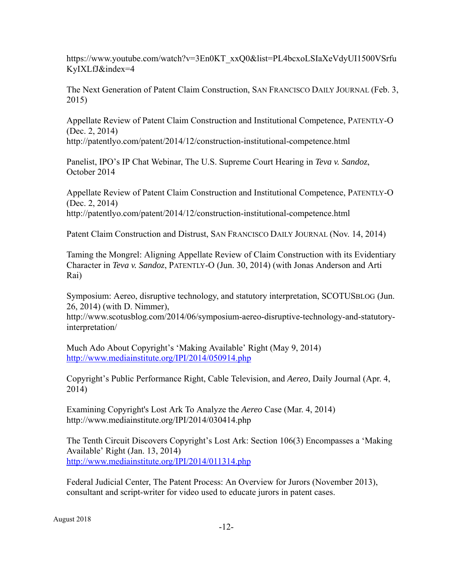https://www.youtube.com/watch?v=3En0KT\_xxQ0&list=PL4bcxoLSIaXeVdyUI1500VSrfu KyIXLfJ&index=4

The Next Generation of Patent Claim Construction, SAN FRANCISCO DAILY JOURNAL (Feb. 3, 2015)

Appellate Review of Patent Claim Construction and Institutional Competence, PATENTLY-O (Dec. 2, 2014)

http://patentlyo.com/patent/2014/12/construction-institutional-competence.html

Panelist, IPO's IP Chat Webinar, The U.S. Supreme Court Hearing in *Teva v. Sandoz*, October 2014

Appellate Review of Patent Claim Construction and Institutional Competence, PATENTLY-O (Dec. 2, 2014) http://patentlyo.com/patent/2014/12/construction-institutional-competence.html

Patent Claim Construction and Distrust, SAN FRANCISCO DAILY JOURNAL (Nov. 14, 2014)

Taming the Mongrel: Aligning Appellate Review of Claim Construction with its Evidentiary Character in *Teva v. Sandoz*, PATENTLY-O (Jun. 30, 2014) (with Jonas Anderson and Arti Rai)

Symposium: Aereo, disruptive technology, and statutory interpretation, SCOTUSBLOG (Jun. 26, 2014) (with D. Nimmer),

http://www.scotusblog.com/2014/06/symposium-aereo-disruptive-technology-and-statutoryinterpretation/

Much Ado About Copyright's 'Making Available' Right (May 9, 2014) http://www.mediainstitute.org/IPI/2014/050914.php

Copyright's Public Performance Right, Cable Television, and *Aereo*, Daily Journal (Apr. 4, 2014)

Examining Copyright's Lost Ark To Analyze the *Aereo* Case (Mar. 4, 2014) http://www.mediainstitute.org/IPI/2014/030414.php

The Tenth Circuit Discovers Copyright's Lost Ark: Section 106(3) Encompasses a 'Making Available' Right (Jan. 13, 2014) http://www.mediainstitute.org/IPI/2014/011314.php

Federal Judicial Center, The Patent Process: An Overview for Jurors (November 2013), consultant and script-writer for video used to educate jurors in patent cases.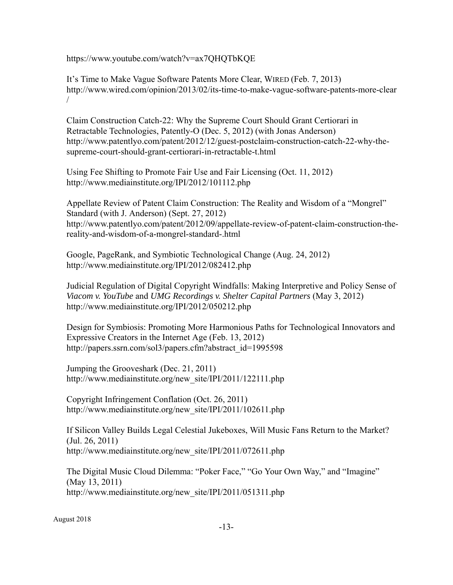https://www.youtube.com/watch?v=ax7QHQTbKQE

It's Time to Make Vague Software Patents More Clear, WIRED (Feb. 7, 2013) http://www.wired.com/opinion/2013/02/its-time-to-make-vague-software-patents-more-clear /

Claim Construction Catch-22: Why the Supreme Court Should Grant Certiorari in Retractable Technologies, Patently-O (Dec. 5, 2012) (with Jonas Anderson) http://www.patentlyo.com/patent/2012/12/guest-postclaim-construction-catch-22-why-thesupreme-court-should-grant-certiorari-in-retractable-t.html

Using Fee Shifting to Promote Fair Use and Fair Licensing (Oct. 11, 2012) http://www.mediainstitute.org/IPI/2012/101112.php

Appellate Review of Patent Claim Construction: The Reality and Wisdom of a "Mongrel" Standard (with J. Anderson) (Sept. 27, 2012) http://www.patentlyo.com/patent/2012/09/appellate-review-of-patent-claim-construction-thereality-and-wisdom-of-a-mongrel-standard-.html

Google, PageRank, and Symbiotic Technological Change (Aug. 24, 2012) http://www.mediainstitute.org/IPI/2012/082412.php

Judicial Regulation of Digital Copyright Windfalls: Making Interpretive and Policy Sense of *Viacom v. YouTube* and *UMG Recordings v. Shelter Capital Partners* (May 3, 2012) http://www.mediainstitute.org/IPI/2012/050212.php

Design for Symbiosis: Promoting More Harmonious Paths for Technological Innovators and Expressive Creators in the Internet Age (Feb. 13, 2012) http://papers.ssrn.com/sol3/papers.cfm?abstract\_id=1995598

Jumping the Grooveshark (Dec. 21, 2011) http://www.mediainstitute.org/new\_site/IPI/2011/122111.php

Copyright Infringement Conflation (Oct. 26, 2011) http://www.mediainstitute.org/new\_site/IPI/2011/102611.php

If Silicon Valley Builds Legal Celestial Jukeboxes, Will Music Fans Return to the Market? (Jul. 26, 2011) http://www.mediainstitute.org/new\_site/IPI/2011/072611.php

The Digital Music Cloud Dilemma: "Poker Face," "Go Your Own Way," and "Imagine" (May 13, 2011) http://www.mediainstitute.org/new\_site/IPI/2011/051311.php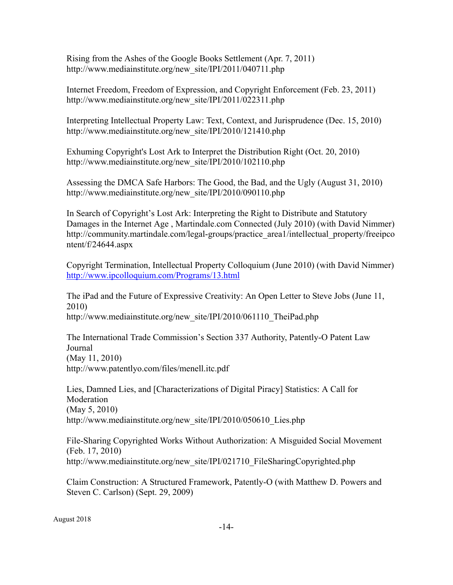Rising from the Ashes of the Google Books Settlement (Apr. 7, 2011) http://www.mediainstitute.org/new\_site/IPI/2011/040711.php

Internet Freedom, Freedom of Expression, and Copyright Enforcement (Feb. 23, 2011) http://www.mediainstitute.org/new\_site/IPI/2011/022311.php

Interpreting Intellectual Property Law: Text, Context, and Jurisprudence (Dec. 15, 2010) http://www.mediainstitute.org/new\_site/IPI/2010/121410.php

Exhuming Copyright's Lost Ark to Interpret the Distribution Right (Oct. 20, 2010) http://www.mediainstitute.org/new\_site/IPI/2010/102110.php

Assessing the DMCA Safe Harbors: The Good, the Bad, and the Ugly (August 31, 2010) http://www.mediainstitute.org/new\_site/IPI/2010/090110.php

In Search of Copyright's Lost Ark: Interpreting the Right to Distribute and Statutory Damages in the Internet Age , Martindale.com Connected (July 2010) (with David Nimmer) http://community.martindale.com/legal-groups/practice\_area1/intellectual\_property/freeipco ntent/f/24644.aspx

Copyright Termination, Intellectual Property Colloquium (June 2010) (with David Nimmer) http://www.ipcolloquium.com/Programs/13.html

The iPad and the Future of Expressive Creativity: An Open Letter to Steve Jobs (June 11, 2010) http://www.mediainstitute.org/new\_site/IPI/2010/061110\_TheiPad.php

The International Trade Commission's Section 337 Authority, Patently-O Patent Law Journal (May 11, 2010) http://www.patentlyo.com/files/menell.itc.pdf

Lies, Damned Lies, and [Characterizations of Digital Piracy] Statistics: A Call for Moderation (May 5, 2010) http://www.mediainstitute.org/new\_site/IPI/2010/050610\_Lies.php

File-Sharing Copyrighted Works Without Authorization: A Misguided Social Movement (Feb. 17, 2010) http://www.mediainstitute.org/new\_site/IPI/021710\_FileSharingCopyrighted.php

Claim Construction: A Structured Framework, Patently-O (with Matthew D. Powers and Steven C. Carlson) (Sept. 29, 2009)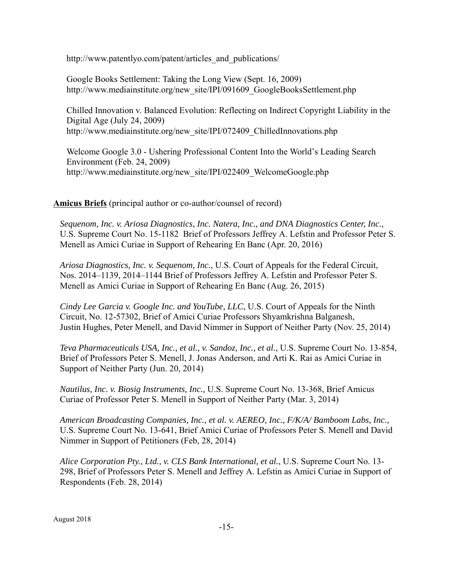http://www.patentlyo.com/patent/articles\_and\_publications/

Google Books Settlement: Taking the Long View (Sept. 16, 2009) http://www.mediainstitute.org/new\_site/IPI/091609\_GoogleBooksSettlement.php

Chilled Innovation v. Balanced Evolution: Reflecting on Indirect Copyright Liability in the Digital Age (July 24, 2009) http://www.mediainstitute.org/new\_site/IPI/072409\_ChilledInnovations.php

Welcome Google 3.0 - Ushering Professional Content Into the World's Leading Search Environment (Feb. 24, 2009) http://www.mediainstitute.org/new\_site/IPI/022409\_WelcomeGoogle.php

**Amicus Briefs** (principal author or co-author/counsel of record)

*Sequenom, Inc. v. Ariosa Diagnostics, Inc. Natera, Inc., and DNA Diagnostics Center, Inc.,* U.S. Supreme Court No. 15-1182 Brief of Professors Jeffrey A. Lefstin and Professor Peter S. Menell as Amici Curiae in Support of Rehearing En Banc (Apr. 20, 2016)

 *Ariosa Diagnostics, Inc. v. Sequenom, Inc.*, U.S. Court of Appeals for the Federal Circuit, Nos. 2014–1139, 2014–1144 Brief of Professors Jeffrey A. Lefstin and Professor Peter S. Menell as Amici Curiae in Support of Rehearing En Banc (Aug. 26, 2015)

 *Cindy Lee Garcia v. Google Inc. and YouTube, LLC*, U.S. Court of Appeals for the Ninth Circuit, No. 12-57302, Brief of Amici Curiae Professors Shyamkrishna Balganesh, Justin Hughes, Peter Menell, and David Nimmer in Support of Neither Party (Nov. 25, 2014)

 *Teva Pharmaceuticals USA, Inc., et al., v. Sandoz, Inc., et al.*, U.S. Supreme Court No. 13-854, Brief of Professors Peter S. Menell, J. Jonas Anderson, and Arti K. Rai as Amici Curiae in Support of Neither Party (Jun. 20, 2014)

*Nautilus, Inc. v. Biosig Instruments, Inc.,* U.S. Supreme Court No. 13-368, Brief Amicus Curiae of Professor Peter S. Menell in Support of Neither Party (Mar. 3, 2014)

*American Broadcasting Companies, Inc., et al. v. AEREO, Inc., F/K/A/ Bamboom Labs, Inc.,* U.S. Supreme Court No. 13-641, Brief Amici Curiae of Professors Peter S. Menell and David Nimmer in Support of Petitioners (Feb, 28, 2014)

*Alice Corporation Pty., Ltd., v. CLS Bank International, et al.*, U.S. Supreme Court No. 13- 298, Brief of Professors Peter S. Menell and Jeffrey A. Lefstin as Amici Curiae in Support of Respondents (Feb. 28, 2014)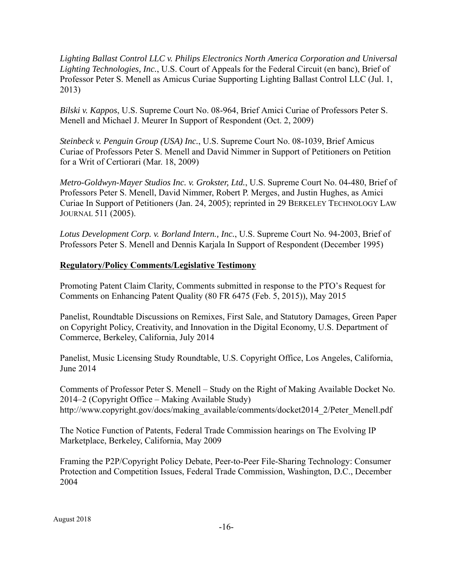*Lighting Ballast Control LLC v. Philips Electronics North America Corporation and Universal Lighting Technologies, Inc.*, U.S. Court of Appeals for the Federal Circuit (en banc), Brief of Professor Peter S. Menell as Amicus Curiae Supporting Lighting Ballast Control LLC (Jul. 1, 2013)

*Bilski v. Kappos*, U.S. Supreme Court No. 08-964, Brief Amici Curiae of Professors Peter S. Menell and Michael J. Meurer In Support of Respondent (Oct. 2, 2009)

*Steinbeck v. Penguin Group (USA) Inc.*, U.S. Supreme Court No. 08-1039, Brief Amicus Curiae of Professors Peter S. Menell and David Nimmer in Support of Petitioners on Petition for a Writ of Certiorari (Mar. 18, 2009)

*Metro-Goldwyn-Mayer Studios Inc. v. Grokster, Ltd.*, U.S. Supreme Court No. 04-480, Brief of Professors Peter S. Menell, David Nimmer, Robert P. Merges, and Justin Hughes, as Amici Curiae In Support of Petitioners (Jan. 24, 2005); reprinted in 29 BERKELEY TECHNOLOGY LAW JOURNAL 511 (2005).

*Lotus Development Corp. v. Borland Intern., Inc.*, U.S. Supreme Court No. 94-2003, Brief of Professors Peter S. Menell and Dennis Karjala In Support of Respondent (December 1995)

# **Regulatory/Policy Comments/Legislative Testimony**

Promoting Patent Claim Clarity, Comments submitted in response to the PTO's Request for Comments on Enhancing Patent Quality (80 FR 6475 (Feb. 5, 2015)), May 2015

Panelist, Roundtable Discussions on Remixes, First Sale, and Statutory Damages, Green Paper on Copyright Policy, Creativity, and Innovation in the Digital Economy, U.S. Department of Commerce, Berkeley, California, July 2014

Panelist, Music Licensing Study Roundtable, U.S. Copyright Office, Los Angeles, California, June 2014

Comments of Professor Peter S. Menell – Study on the Right of Making Available Docket No. 2014–2 (Copyright Office – Making Available Study) http://www.copyright.gov/docs/making\_available/comments/docket2014\_2/Peter\_Menell.pdf

The Notice Function of Patents, Federal Trade Commission hearings on The Evolving IP Marketplace, Berkeley, California, May 2009

Framing the P2P/Copyright Policy Debate, Peer-to-Peer File-Sharing Technology: Consumer Protection and Competition Issues, Federal Trade Commission, Washington, D.C., December 2004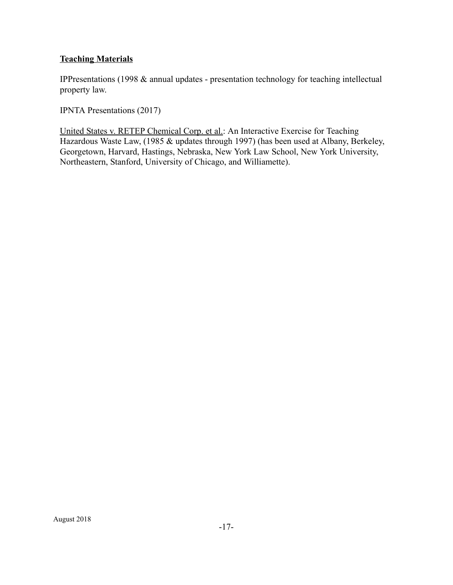# **Teaching Materials**

IPPresentations (1998 & annual updates - presentation technology for teaching intellectual property law.

IPNTA Presentations (2017)

United States v. RETEP Chemical Corp. et al.: An Interactive Exercise for Teaching Hazardous Waste Law, (1985 & updates through 1997) (has been used at Albany, Berkeley, Georgetown, Harvard, Hastings, Nebraska, New York Law School, New York University, Northeastern, Stanford, University of Chicago, and Williamette).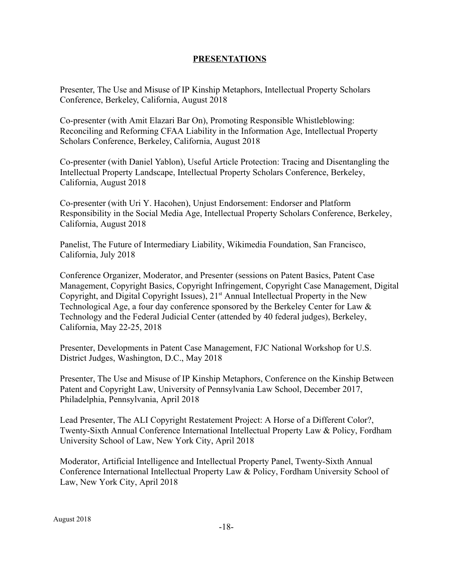### **PRESENTATIONS**

Presenter, The Use and Misuse of IP Kinship Metaphors, Intellectual Property Scholars Conference, Berkeley, California, August 2018

Co-presenter (with Amit Elazari Bar On), Promoting Responsible Whistleblowing: Reconciling and Reforming CFAA Liability in the Information Age, Intellectual Property Scholars Conference, Berkeley, California, August 2018

Co-presenter (with Daniel Yablon), Useful Article Protection: Tracing and Disentangling the Intellectual Property Landscape, Intellectual Property Scholars Conference, Berkeley, California, August 2018

Co-presenter (with Uri Y. Hacohen), Unjust Endorsement: Endorser and Platform Responsibility in the Social Media Age, Intellectual Property Scholars Conference, Berkeley, California, August 2018

Panelist, The Future of Intermediary Liability, Wikimedia Foundation, San Francisco, California, July 2018

Conference Organizer, Moderator, and Presenter (sessions on Patent Basics, Patent Case Management, Copyright Basics, Copyright Infringement, Copyright Case Management, Digital Copyright, and Digital Copyright Issues),  $21<sup>st</sup>$  Annual Intellectual Property in the New Technological Age, a four day conference sponsored by the Berkeley Center for Law & Technology and the Federal Judicial Center (attended by 40 federal judges), Berkeley, California, May 22-25, 2018

Presenter, Developments in Patent Case Management, FJC National Workshop for U.S. District Judges, Washington, D.C., May 2018

Presenter, The Use and Misuse of IP Kinship Metaphors, Conference on the Kinship Between Patent and Copyright Law, University of Pennsylvania Law School, December 2017, Philadelphia, Pennsylvania, April 2018

Lead Presenter, The ALI Copyright Restatement Project: A Horse of a Different Color?, Twenty-Sixth Annual Conference International Intellectual Property Law & Policy, Fordham University School of Law, New York City, April 2018

Moderator, Artificial Intelligence and Intellectual Property Panel, Twenty-Sixth Annual Conference International Intellectual Property Law & Policy, Fordham University School of Law, New York City, April 2018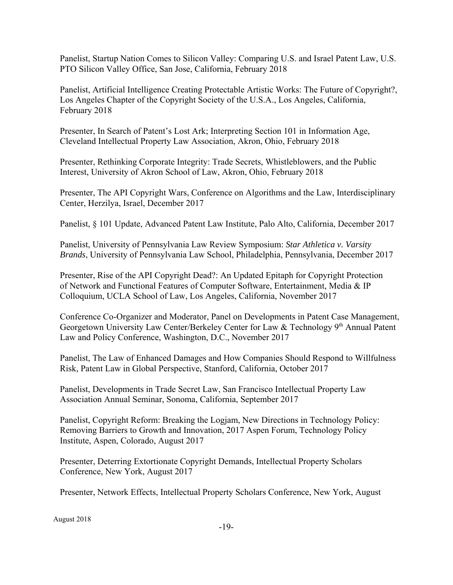Panelist, Startup Nation Comes to Silicon Valley: Comparing U.S. and Israel Patent Law, U.S. PTO Silicon Valley Office, San Jose, California, February 2018

Panelist, Artificial Intelligence Creating Protectable Artistic Works: The Future of Copyright?, Los Angeles Chapter of the Copyright Society of the U.S.A., Los Angeles, California, February 2018

Presenter, In Search of Patent's Lost Ark; Interpreting Section 101 in Information Age, Cleveland Intellectual Property Law Association, Akron, Ohio, February 2018

Presenter, Rethinking Corporate Integrity: Trade Secrets, Whistleblowers, and the Public Interest, University of Akron School of Law, Akron, Ohio, February 2018

Presenter, The API Copyright Wars, Conference on Algorithms and the Law, Interdisciplinary Center, Herzilya, Israel, December 2017

Panelist, § 101 Update, Advanced Patent Law Institute, Palo Alto, California, December 2017

Panelist, University of Pennsylvania Law Review Symposium: *Star Athletica v. Varsity Brands*, University of Pennsylvania Law School, Philadelphia, Pennsylvania, December 2017

Presenter, Rise of the API Copyright Dead?: An Updated Epitaph for Copyright Protection of Network and Functional Features of Computer Software, Entertainment, Media & IP Colloquium, UCLA School of Law, Los Angeles, California, November 2017

Conference Co-Organizer and Moderator, Panel on Developments in Patent Case Management, Georgetown University Law Center/Berkeley Center for Law & Technology 9<sup>th</sup> Annual Patent Law and Policy Conference, Washington, D.C., November 2017

Panelist, The Law of Enhanced Damages and How Companies Should Respond to Willfulness Risk, Patent Law in Global Perspective, Stanford, California, October 2017

Panelist, Developments in Trade Secret Law, San Francisco Intellectual Property Law Association Annual Seminar, Sonoma, California, September 2017

Panelist, Copyright Reform: Breaking the Logjam, New Directions in Technology Policy: Removing Barriers to Growth and Innovation, 2017 Aspen Forum, Technology Policy Institute, Aspen, Colorado, August 2017

Presenter, Deterring Extortionate Copyright Demands, Intellectual Property Scholars Conference, New York, August 2017

Presenter, Network Effects, Intellectual Property Scholars Conference, New York, August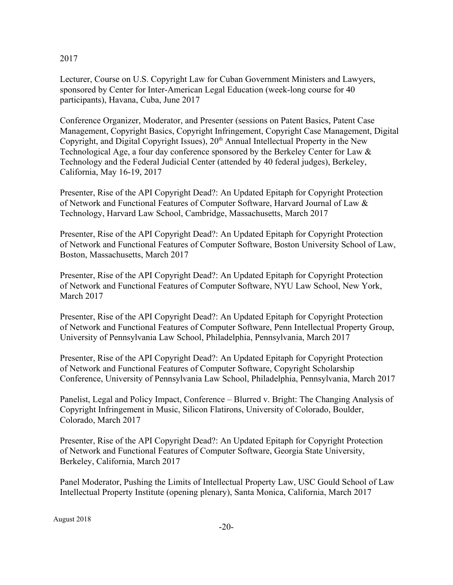### 2017

Lecturer, Course on U.S. Copyright Law for Cuban Government Ministers and Lawyers, sponsored by Center for Inter-American Legal Education (week-long course for 40 participants), Havana, Cuba, June 2017

Conference Organizer, Moderator, and Presenter (sessions on Patent Basics, Patent Case Management, Copyright Basics, Copyright Infringement, Copyright Case Management, Digital Copyright, and Digital Copyright Issues),  $20<sup>th</sup>$  Annual Intellectual Property in the New Technological Age, a four day conference sponsored by the Berkeley Center for Law & Technology and the Federal Judicial Center (attended by 40 federal judges), Berkeley, California, May 16-19, 2017

Presenter, Rise of the API Copyright Dead?: An Updated Epitaph for Copyright Protection of Network and Functional Features of Computer Software, Harvard Journal of Law & Technology, Harvard Law School, Cambridge, Massachusetts, March 2017

Presenter, Rise of the API Copyright Dead?: An Updated Epitaph for Copyright Protection of Network and Functional Features of Computer Software, Boston University School of Law, Boston, Massachusetts, March 2017

Presenter, Rise of the API Copyright Dead?: An Updated Epitaph for Copyright Protection of Network and Functional Features of Computer Software, NYU Law School, New York, March 2017

Presenter, Rise of the API Copyright Dead?: An Updated Epitaph for Copyright Protection of Network and Functional Features of Computer Software, Penn Intellectual Property Group, University of Pennsylvania Law School, Philadelphia, Pennsylvania, March 2017

Presenter, Rise of the API Copyright Dead?: An Updated Epitaph for Copyright Protection of Network and Functional Features of Computer Software, Copyright Scholarship Conference, University of Pennsylvania Law School, Philadelphia, Pennsylvania, March 2017

Panelist, Legal and Policy Impact, Conference – Blurred v. Bright: The Changing Analysis of Copyright Infringement in Music, Silicon Flatirons, University of Colorado, Boulder, Colorado, March 2017

Presenter, Rise of the API Copyright Dead?: An Updated Epitaph for Copyright Protection of Network and Functional Features of Computer Software, Georgia State University, Berkeley, California, March 2017

Panel Moderator, Pushing the Limits of Intellectual Property Law, USC Gould School of Law Intellectual Property Institute (opening plenary), Santa Monica, California, March 2017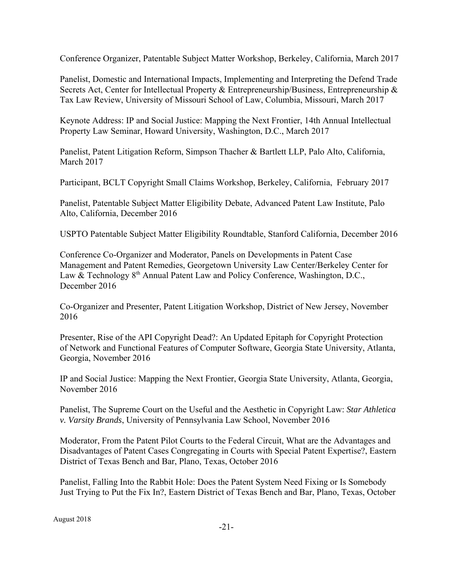Conference Organizer, Patentable Subject Matter Workshop, Berkeley, California, March 2017

Panelist, Domestic and International Impacts, Implementing and Interpreting the Defend Trade Secrets Act, Center for Intellectual Property & Entrepreneurship/Business, Entrepreneurship & Tax Law Review, University of Missouri School of Law, Columbia, Missouri, March 2017

Keynote Address: IP and Social Justice: Mapping the Next Frontier, 14th Annual Intellectual Property Law Seminar, Howard University, Washington, D.C., March 2017

Panelist, Patent Litigation Reform, Simpson Thacher & Bartlett LLP, Palo Alto, California, March 2017

Participant, BCLT Copyright Small Claims Workshop, Berkeley, California, February 2017

Panelist, Patentable Subject Matter Eligibility Debate, Advanced Patent Law Institute, Palo Alto, California, December 2016

USPTO Patentable Subject Matter Eligibility Roundtable, Stanford California, December 2016

Conference Co-Organizer and Moderator, Panels on Developments in Patent Case Management and Patent Remedies, Georgetown University Law Center/Berkeley Center for Law & Technology 8<sup>th</sup> Annual Patent Law and Policy Conference, Washington, D.C., December 2016

Co-Organizer and Presenter, Patent Litigation Workshop, District of New Jersey, November 2016

Presenter, Rise of the API Copyright Dead?: An Updated Epitaph for Copyright Protection of Network and Functional Features of Computer Software, Georgia State University, Atlanta, Georgia, November 2016

IP and Social Justice: Mapping the Next Frontier, Georgia State University, Atlanta, Georgia, November 2016

Panelist, The Supreme Court on the Useful and the Aesthetic in Copyright Law: *Star Athletica v. Varsity Brands*, University of Pennsylvania Law School, November 2016

Moderator, From the Patent Pilot Courts to the Federal Circuit, What are the Advantages and Disadvantages of Patent Cases Congregating in Courts with Special Patent Expertise?, Eastern District of Texas Bench and Bar, Plano, Texas, October 2016

Panelist, Falling Into the Rabbit Hole: Does the Patent System Need Fixing or Is Somebody Just Trying to Put the Fix In?, Eastern District of Texas Bench and Bar, Plano, Texas, October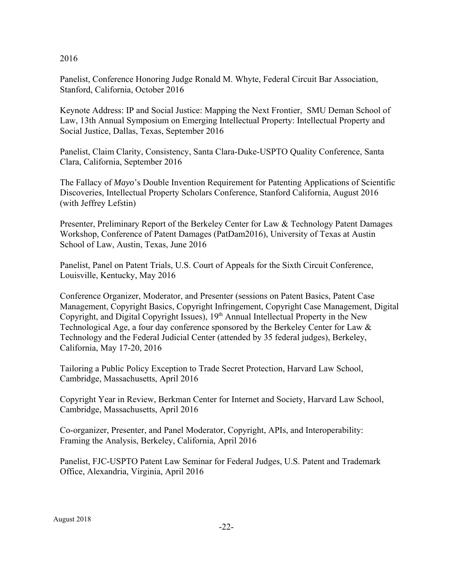### 2016

Panelist, Conference Honoring Judge Ronald M. Whyte, Federal Circuit Bar Association, Stanford, California, October 2016

Keynote Address: IP and Social Justice: Mapping the Next Frontier, SMU Deman School of Law, 13th Annual Symposium on Emerging Intellectual Property: Intellectual Property and Social Justice, Dallas, Texas, September 2016

Panelist, Claim Clarity, Consistency, Santa Clara-Duke-USPTO Quality Conference, Santa Clara, California, September 2016

The Fallacy of *Mayo*'s Double Invention Requirement for Patenting Applications of Scientific Discoveries, Intellectual Property Scholars Conference, Stanford California, August 2016 (with Jeffrey Lefstin)

Presenter, Preliminary Report of the Berkeley Center for Law & Technology Patent Damages Workshop, Conference of Patent Damages (PatDam2016), University of Texas at Austin School of Law, Austin, Texas, June 2016

Panelist, Panel on Patent Trials, U.S. Court of Appeals for the Sixth Circuit Conference, Louisville, Kentucky, May 2016

Conference Organizer, Moderator, and Presenter (sessions on Patent Basics, Patent Case Management, Copyright Basics, Copyright Infringement, Copyright Case Management, Digital Copyright, and Digital Copyright Issues),  $19<sup>th</sup>$  Annual Intellectual Property in the New Technological Age, a four day conference sponsored by the Berkeley Center for Law & Technology and the Federal Judicial Center (attended by 35 federal judges), Berkeley, California, May 17-20, 2016

Tailoring a Public Policy Exception to Trade Secret Protection, Harvard Law School, Cambridge, Massachusetts, April 2016

Copyright Year in Review, Berkman Center for Internet and Society, Harvard Law School, Cambridge, Massachusetts, April 2016

Co-organizer, Presenter, and Panel Moderator, Copyright, APIs, and Interoperability: Framing the Analysis, Berkeley, California, April 2016

Panelist, FJC-USPTO Patent Law Seminar for Federal Judges, U.S. Patent and Trademark Office, Alexandria, Virginia, April 2016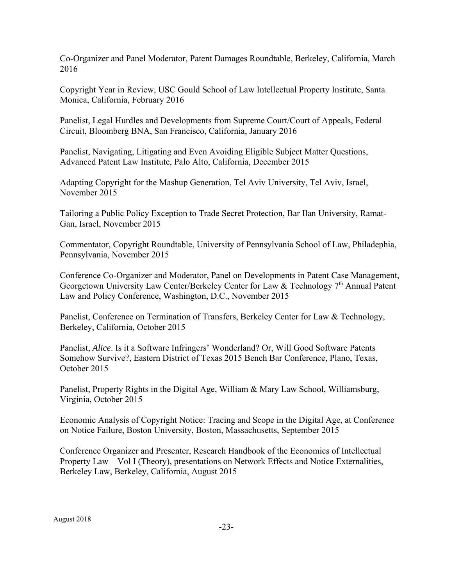Co-Organizer and Panel Moderator, Patent Damages Roundtable, Berkeley, California, March 2016

Copyright Year in Review, USC Gould School of Law Intellectual Property Institute, Santa Monica, California, February 2016

Panelist, Legal Hurdles and Developments from Supreme Court/Court of Appeals, Federal Circuit, Bloomberg BNA, San Francisco, California, January 2016

Panelist, Navigating, Litigating and Even Avoiding Eligible Subject Matter Questions, Advanced Patent Law Institute, Palo Alto, California, December 2015

Adapting Copyright for the Mashup Generation, Tel Aviv University, Tel Aviv, Israel, November 2015

Tailoring a Public Policy Exception to Trade Secret Protection, Bar Ilan University, Ramat-Gan, Israel, November 2015

Commentator, Copyright Roundtable, University of Pennsylvania School of Law, Philadephia, Pennsylvania, November 2015

Conference Co-Organizer and Moderator, Panel on Developments in Patent Case Management, Georgetown University Law Center/Berkeley Center for Law & Technology  $7<sup>th</sup>$  Annual Patent Law and Policy Conference, Washington, D.C., November 2015

Panelist, Conference on Termination of Transfers, Berkeley Center for Law & Technology, Berkeley, California, October 2015

Panelist, *Alice*. Is it a Software Infringers' Wonderland? Or, Will Good Software Patents Somehow Survive?, Eastern District of Texas 2015 Bench Bar Conference, Plano, Texas, October 2015

Panelist, Property Rights in the Digital Age, William & Mary Law School, Williamsburg, Virginia, October 2015

Economic Analysis of Copyright Notice: Tracing and Scope in the Digital Age, at Conference on Notice Failure, Boston University, Boston, Massachusetts, September 2015

Conference Organizer and Presenter, Research Handbook of the Economics of Intellectual Property Law – Vol I (Theory), presentations on Network Effects and Notice Externalities, Berkeley Law, Berkeley, California, August 2015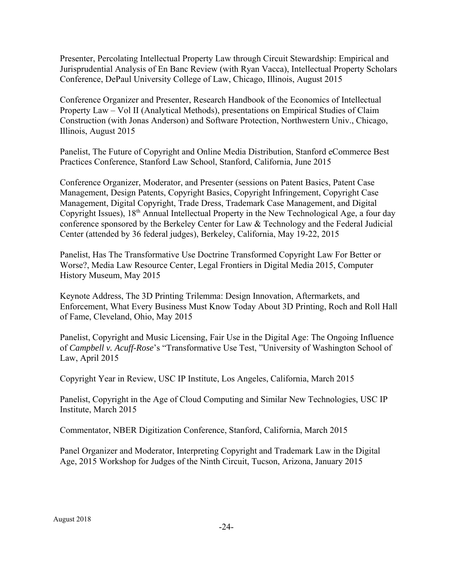Presenter, Percolating Intellectual Property Law through Circuit Stewardship: Empirical and Jurisprudential Analysis of En Banc Review (with Ryan Vacca), Intellectual Property Scholars Conference, DePaul University College of Law, Chicago, Illinois, August 2015

Conference Organizer and Presenter, Research Handbook of the Economics of Intellectual Property Law – Vol II (Analytical Methods), presentations on Empirical Studies of Claim Construction (with Jonas Anderson) and Software Protection, Northwestern Univ., Chicago, Illinois, August 2015

Panelist, The Future of Copyright and Online Media Distribution, Stanford eCommerce Best Practices Conference, Stanford Law School, Stanford, California, June 2015

Conference Organizer, Moderator, and Presenter (sessions on Patent Basics, Patent Case Management, Design Patents, Copyright Basics, Copyright Infringement, Copyright Case Management, Digital Copyright, Trade Dress, Trademark Case Management, and Digital Copyright Issues), 18<sup>th</sup> Annual Intellectual Property in the New Technological Age, a four day conference sponsored by the Berkeley Center for Law & Technology and the Federal Judicial Center (attended by 36 federal judges), Berkeley, California, May 19-22, 2015

Panelist, Has The Transformative Use Doctrine Transformed Copyright Law For Better or Worse?, Media Law Resource Center, Legal Frontiers in Digital Media 2015, Computer History Museum, May 2015

Keynote Address, The 3D Printing Trilemma: Design Innovation, Aftermarkets, and Enforcement, What Every Business Must Know Today About 3D Printing, Roch and Roll Hall of Fame, Cleveland, Ohio, May 2015

Panelist, Copyright and Music Licensing, Fair Use in the Digital Age: The Ongoing Influence of *Campbell v. Acuff-Rose*'s "Transformative Use Test, "University of Washington School of Law, April 2015

Copyright Year in Review, USC IP Institute, Los Angeles, California, March 2015

Panelist, Copyright in the Age of Cloud Computing and Similar New Technologies, USC IP Institute, March 2015

Commentator, NBER Digitization Conference, Stanford, California, March 2015

Panel Organizer and Moderator, Interpreting Copyright and Trademark Law in the Digital Age, 2015 Workshop for Judges of the Ninth Circuit, Tucson, Arizona, January 2015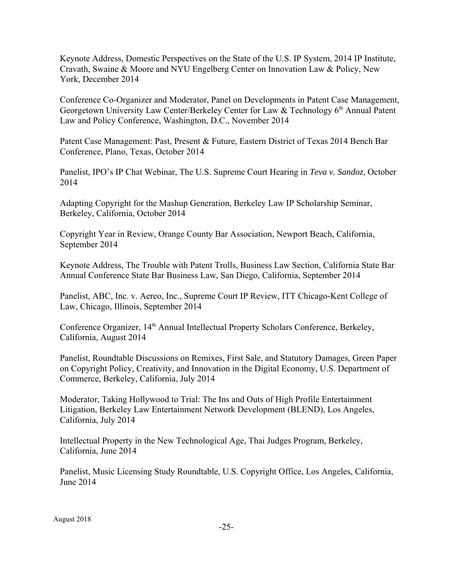Keynote Address, Domestic Perspectives on the State of the U.S. IP System, 2014 IP Institute, Cravath, Swaine & Moore and NYU Engelberg Center on Innovation Law & Policy, New York, December 2014

Conference Co-Organizer and Moderator, Panel on Developments in Patent Case Management, Georgetown University Law Center/Berkeley Center for Law & Technology 6<sup>th</sup> Annual Patent Law and Policy Conference, Washington, D.C., November 2014

Patent Case Management: Past, Present & Future, Eastern District of Texas 2014 Bench Bar Conference, Plano, Texas, October 2014

Panelist, IPO's IP Chat Webinar, The U.S. Supreme Court Hearing in *Teva v. Sandoz*, October 2014

Adapting Copyright for the Mashup Generation, Berkeley Law IP Scholarship Seminar, Berkeley, California, October 2014

Copyright Year in Review, Orange County Bar Association, Newport Beach, California, September 2014

Keynote Address, The Trouble with Patent Trolls, Business Law Section, California State Bar Annual Conference State Bar Business Law, San Diego, California, September 2014

Panelist, ABC, Inc. v. Aereo, Inc., Supreme Court IP Review, ITT Chicago-Kent College of Law, Chicago, Illinois, September 2014

Conference Organizer, 14<sup>th</sup> Annual Intellectual Property Scholars Conference, Berkeley, California, August 2014

Panelist, Roundtable Discussions on Remixes, First Sale, and Statutory Damages, Green Paper on Copyright Policy, Creativity, and Innovation in the Digital Economy, U.S. Department of Commerce, Berkeley, California, July 2014

Moderator, Taking Hollywood to Trial: The Ins and Outs of High Profile Entertainment Litigation, Berkeley Law Entertainment Network Development (BLEND), Los Angeles, California, July 2014

Intellectual Property in the New Technological Age, Thai Judges Program, Berkeley, California, June 2014

Panelist, Music Licensing Study Roundtable, U.S. Copyright Office, Los Angeles, California, June 2014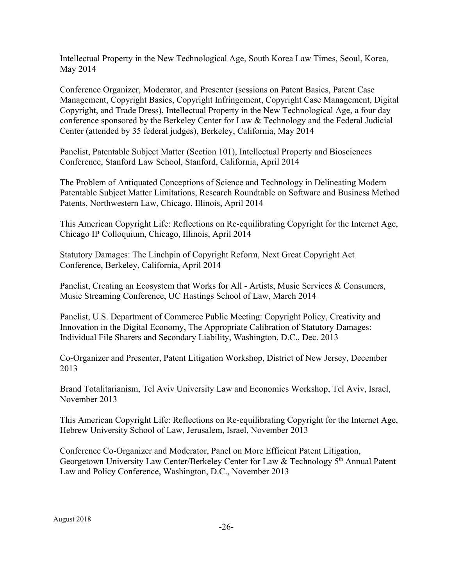Intellectual Property in the New Technological Age, South Korea Law Times, Seoul, Korea, May 2014

Conference Organizer, Moderator, and Presenter (sessions on Patent Basics, Patent Case Management, Copyright Basics, Copyright Infringement, Copyright Case Management, Digital Copyright, and Trade Dress), Intellectual Property in the New Technological Age, a four day conference sponsored by the Berkeley Center for Law  $&$  Technology and the Federal Judicial Center (attended by 35 federal judges), Berkeley, California, May 2014

Panelist, Patentable Subject Matter (Section 101), Intellectual Property and Biosciences Conference, Stanford Law School, Stanford, California, April 2014

The Problem of Antiquated Conceptions of Science and Technology in Delineating Modern Patentable Subject Matter Limitations, Research Roundtable on Software and Business Method Patents, Northwestern Law, Chicago, Illinois, April 2014

This American Copyright Life: Reflections on Re-equilibrating Copyright for the Internet Age, Chicago IP Colloquium, Chicago, Illinois, April 2014

Statutory Damages: The Linchpin of Copyright Reform, Next Great Copyright Act Conference, Berkeley, California, April 2014

Panelist, Creating an Ecosystem that Works for All - Artists, Music Services & Consumers, Music Streaming Conference, UC Hastings School of Law, March 2014

Panelist, U.S. Department of Commerce Public Meeting: Copyright Policy, Creativity and Innovation in the Digital Economy, The Appropriate Calibration of Statutory Damages: Individual File Sharers and Secondary Liability, Washington, D.C., Dec. 2013

Co-Organizer and Presenter, Patent Litigation Workshop, District of New Jersey, December 2013

Brand Totalitarianism, Tel Aviv University Law and Economics Workshop, Tel Aviv, Israel, November 2013

This American Copyright Life: Reflections on Re-equilibrating Copyright for the Internet Age, Hebrew University School of Law, Jerusalem, Israel, November 2013

Conference Co-Organizer and Moderator, Panel on More Efficient Patent Litigation, Georgetown University Law Center/Berkeley Center for Law & Technology  $5<sup>th</sup>$  Annual Patent Law and Policy Conference, Washington, D.C., November 2013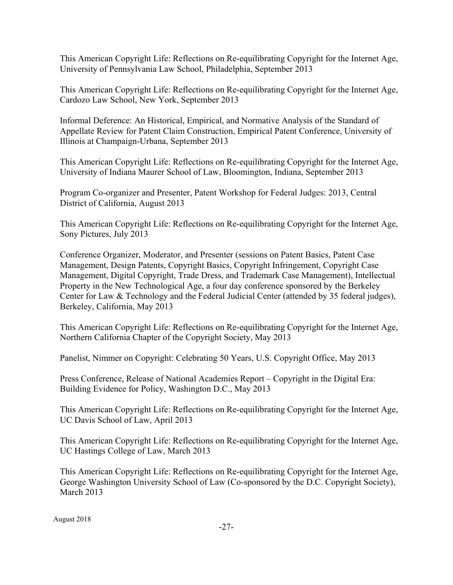This American Copyright Life: Reflections on Re-equilibrating Copyright for the Internet Age, University of Pennsylvania Law School, Philadelphia, September 2013

This American Copyright Life: Reflections on Re-equilibrating Copyright for the Internet Age, Cardozo Law School, New York, September 2013

Informal Deference: An Historical, Empirical, and Normative Analysis of the Standard of Appellate Review for Patent Claim Construction, Empirical Patent Conference, University of Illinois at Champaign-Urbana, September 2013

This American Copyright Life: Reflections on Re-equilibrating Copyright for the Internet Age, University of Indiana Maurer School of Law, Bloomington, Indiana, September 2013

Program Co-organizer and Presenter, Patent Workshop for Federal Judges: 2013, Central District of California, August 2013

This American Copyright Life: Reflections on Re-equilibrating Copyright for the Internet Age, Sony Pictures, July 2013

Conference Organizer, Moderator, and Presenter (sessions on Patent Basics, Patent Case Management, Design Patents, Copyright Basics, Copyright Infringement, Copyright Case Management, Digital Copyright, Trade Dress, and Trademark Case Management), Intellectual Property in the New Technological Age, a four day conference sponsored by the Berkeley Center for Law & Technology and the Federal Judicial Center (attended by 35 federal judges), Berkeley, California, May 2013

This American Copyright Life: Reflections on Re-equilibrating Copyright for the Internet Age, Northern California Chapter of the Copyright Society, May 2013

Panelist, Nimmer on Copyright: Celebrating 50 Years, U.S. Copyright Office, May 2013

Press Conference, Release of National Academies Report – Copyright in the Digital Era: Building Evidence for Policy, Washington D.C., May 2013

This American Copyright Life: Reflections on Re-equilibrating Copyright for the Internet Age, UC Davis School of Law, April 2013

This American Copyright Life: Reflections on Re-equilibrating Copyright for the Internet Age, UC Hastings College of Law, March 2013

This American Copyright Life: Reflections on Re-equilibrating Copyright for the Internet Age, George Washington University School of Law (Co-sponsored by the D.C. Copyright Society), March 2013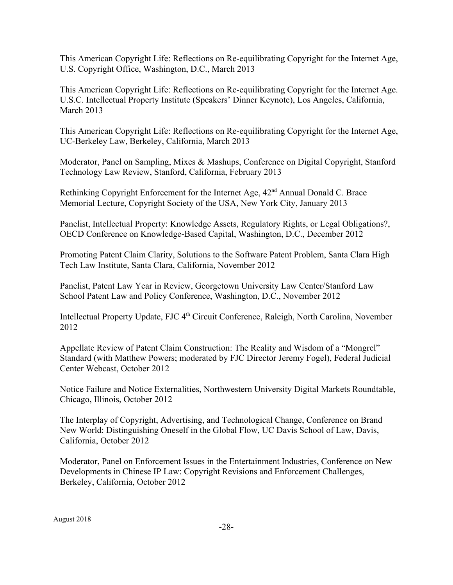This American Copyright Life: Reflections on Re-equilibrating Copyright for the Internet Age, U.S. Copyright Office, Washington, D.C., March 2013

This American Copyright Life: Reflections on Re-equilibrating Copyright for the Internet Age. U.S.C. Intellectual Property Institute (Speakers' Dinner Keynote), Los Angeles, California, March 2013

This American Copyright Life: Reflections on Re-equilibrating Copyright for the Internet Age, UC-Berkeley Law, Berkeley, California, March 2013

Moderator, Panel on Sampling, Mixes & Mashups, Conference on Digital Copyright, Stanford Technology Law Review, Stanford, California, February 2013

Rethinking Copyright Enforcement for the Internet Age,  $42<sup>nd</sup>$  Annual Donald C. Brace Memorial Lecture, Copyright Society of the USA, New York City, January 2013

Panelist, Intellectual Property: Knowledge Assets, Regulatory Rights, or Legal Obligations?, OECD Conference on Knowledge-Based Capital, Washington, D.C., December 2012

Promoting Patent Claim Clarity, Solutions to the Software Patent Problem, Santa Clara High Tech Law Institute, Santa Clara, California, November 2012

Panelist, Patent Law Year in Review, Georgetown University Law Center/Stanford Law School Patent Law and Policy Conference, Washington, D.C., November 2012

Intellectual Property Update, FJC 4<sup>th</sup> Circuit Conference, Raleigh, North Carolina, November 2012

Appellate Review of Patent Claim Construction: The Reality and Wisdom of a "Mongrel" Standard (with Matthew Powers; moderated by FJC Director Jeremy Fogel), Federal Judicial Center Webcast, October 2012

Notice Failure and Notice Externalities, Northwestern University Digital Markets Roundtable, Chicago, Illinois, October 2012

The Interplay of Copyright, Advertising, and Technological Change, Conference on Brand New World: Distinguishing Oneself in the Global Flow, UC Davis School of Law, Davis, California, October 2012

Moderator, Panel on Enforcement Issues in the Entertainment Industries, Conference on New Developments in Chinese IP Law: Copyright Revisions and Enforcement Challenges, Berkeley, California, October 2012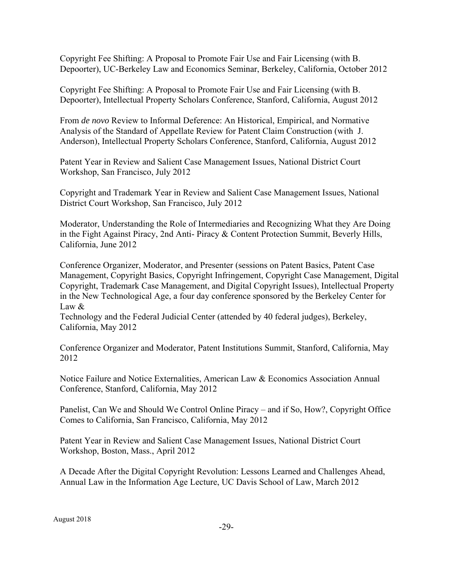Copyright Fee Shifting: A Proposal to Promote Fair Use and Fair Licensing (with B. Depoorter), UC-Berkeley Law and Economics Seminar, Berkeley, California, October 2012

Copyright Fee Shifting: A Proposal to Promote Fair Use and Fair Licensing (with B. Depoorter), Intellectual Property Scholars Conference, Stanford, California, August 2012

From *de novo* Review to Informal Deference: An Historical, Empirical, and Normative Analysis of the Standard of Appellate Review for Patent Claim Construction (with J. Anderson), Intellectual Property Scholars Conference, Stanford, California, August 2012

Patent Year in Review and Salient Case Management Issues, National District Court Workshop, San Francisco, July 2012

Copyright and Trademark Year in Review and Salient Case Management Issues, National District Court Workshop, San Francisco, July 2012

Moderator, Understanding the Role of Intermediaries and Recognizing What they Are Doing in the Fight Against Piracy, 2nd Anti- Piracy & Content Protection Summit, Beverly Hills, California, June 2012

Conference Organizer, Moderator, and Presenter (sessions on Patent Basics, Patent Case Management, Copyright Basics, Copyright Infringement, Copyright Case Management, Digital Copyright, Trademark Case Management, and Digital Copyright Issues), Intellectual Property in the New Technological Age, a four day conference sponsored by the Berkeley Center for Law  $\&$ 

Technology and the Federal Judicial Center (attended by 40 federal judges), Berkeley, California, May 2012

Conference Organizer and Moderator, Patent Institutions Summit, Stanford, California, May 2012

Notice Failure and Notice Externalities, American Law & Economics Association Annual Conference, Stanford, California, May 2012

Panelist, Can We and Should We Control Online Piracy – and if So, How?, Copyright Office Comes to California, San Francisco, California, May 2012

Patent Year in Review and Salient Case Management Issues, National District Court Workshop, Boston, Mass., April 2012

A Decade After the Digital Copyright Revolution: Lessons Learned and Challenges Ahead, Annual Law in the Information Age Lecture, UC Davis School of Law, March 2012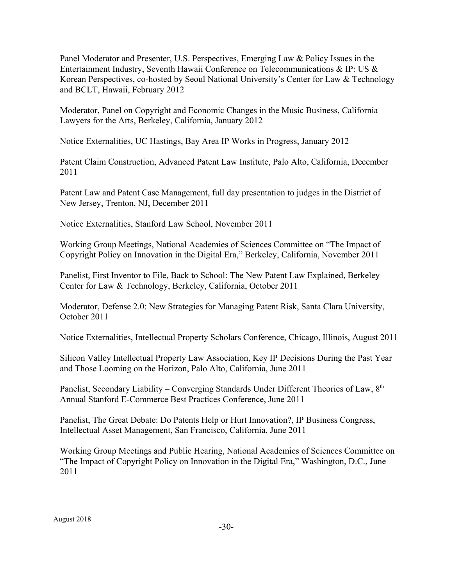Panel Moderator and Presenter, U.S. Perspectives, Emerging Law & Policy Issues in the Entertainment Industry, Seventh Hawaii Conference on Telecommunications & IP: US & Korean Perspectives, co-hosted by Seoul National University's Center for Law & Technology and BCLT, Hawaii, February 2012

Moderator, Panel on Copyright and Economic Changes in the Music Business, California Lawyers for the Arts, Berkeley, California, January 2012

Notice Externalities, UC Hastings, Bay Area IP Works in Progress, January 2012

Patent Claim Construction, Advanced Patent Law Institute, Palo Alto, California, December 2011

Patent Law and Patent Case Management, full day presentation to judges in the District of New Jersey, Trenton, NJ, December 2011

Notice Externalities, Stanford Law School, November 2011

Working Group Meetings, National Academies of Sciences Committee on "The Impact of Copyright Policy on Innovation in the Digital Era," Berkeley, California, November 2011

Panelist, First Inventor to File, Back to School: The New Patent Law Explained, Berkeley Center for Law & Technology, Berkeley, California, October 2011

Moderator, Defense 2.0: New Strategies for Managing Patent Risk, Santa Clara University, October 2011

Notice Externalities, Intellectual Property Scholars Conference, Chicago, Illinois, August 2011

Silicon Valley Intellectual Property Law Association, Key IP Decisions During the Past Year and Those Looming on the Horizon, Palo Alto, California, June 2011

Panelist, Secondary Liability – Converging Standards Under Different Theories of Law,  $8<sup>th</sup>$ Annual Stanford E-Commerce Best Practices Conference, June 2011

Panelist, The Great Debate: Do Patents Help or Hurt Innovation?, IP Business Congress, Intellectual Asset Management, San Francisco, California, June 2011

Working Group Meetings and Public Hearing, National Academies of Sciences Committee on "The Impact of Copyright Policy on Innovation in the Digital Era," Washington, D.C., June 2011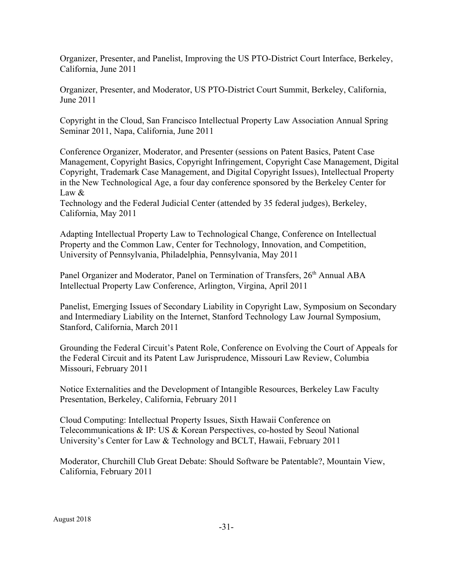Organizer, Presenter, and Panelist, Improving the US PTO-District Court Interface, Berkeley, California, June 2011

Organizer, Presenter, and Moderator, US PTO-District Court Summit, Berkeley, California, June 2011

Copyright in the Cloud, San Francisco Intellectual Property Law Association Annual Spring Seminar 2011, Napa, California, June 2011

Conference Organizer, Moderator, and Presenter (sessions on Patent Basics, Patent Case Management, Copyright Basics, Copyright Infringement, Copyright Case Management, Digital Copyright, Trademark Case Management, and Digital Copyright Issues), Intellectual Property in the New Technological Age, a four day conference sponsored by the Berkeley Center for Law  $\&$ 

Technology and the Federal Judicial Center (attended by 35 federal judges), Berkeley, California, May 2011

Adapting Intellectual Property Law to Technological Change, Conference on Intellectual Property and the Common Law, Center for Technology, Innovation, and Competition, University of Pennsylvania, Philadelphia, Pennsylvania, May 2011

Panel Organizer and Moderator, Panel on Termination of Transfers, 26<sup>th</sup> Annual ABA Intellectual Property Law Conference, Arlington, Virgina, April 2011

Panelist, Emerging Issues of Secondary Liability in Copyright Law, Symposium on Secondary and Intermediary Liability on the Internet, Stanford Technology Law Journal Symposium, Stanford, California, March 2011

Grounding the Federal Circuit's Patent Role, Conference on Evolving the Court of Appeals for the Federal Circuit and its Patent Law Jurisprudence, Missouri Law Review, Columbia Missouri, February 2011

Notice Externalities and the Development of Intangible Resources, Berkeley Law Faculty Presentation, Berkeley, California, February 2011

Cloud Computing: Intellectual Property Issues, Sixth Hawaii Conference on Telecommunications & IP: US & Korean Perspectives, co-hosted by Seoul National University's Center for Law & Technology and BCLT, Hawaii, February 2011

Moderator, Churchill Club Great Debate: Should Software be Patentable?, Mountain View, California, February 2011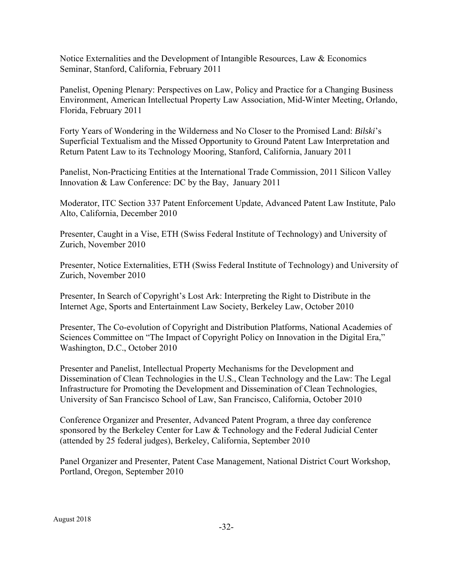Notice Externalities and the Development of Intangible Resources, Law & Economics Seminar, Stanford, California, February 2011

Panelist, Opening Plenary: Perspectives on Law, Policy and Practice for a Changing Business Environment, American Intellectual Property Law Association, Mid-Winter Meeting, Orlando, Florida, February 2011

Forty Years of Wondering in the Wilderness and No Closer to the Promised Land: *Bilski*'s Superficial Textualism and the Missed Opportunity to Ground Patent Law Interpretation and Return Patent Law to its Technology Mooring, Stanford, California, January 2011

Panelist, Non-Practicing Entities at the International Trade Commission, 2011 Silicon Valley Innovation & Law Conference: DC by the Bay, January 2011

Moderator, ITC Section 337 Patent Enforcement Update, Advanced Patent Law Institute, Palo Alto, California, December 2010

Presenter, Caught in a Vise, ETH (Swiss Federal Institute of Technology) and University of Zurich, November 2010

Presenter, Notice Externalities, ETH (Swiss Federal Institute of Technology) and University of Zurich, November 2010

Presenter, In Search of Copyright's Lost Ark: Interpreting the Right to Distribute in the Internet Age, Sports and Entertainment Law Society, Berkeley Law, October 2010

Presenter, The Co-evolution of Copyright and Distribution Platforms, National Academies of Sciences Committee on "The Impact of Copyright Policy on Innovation in the Digital Era," Washington, D.C., October 2010

Presenter and Panelist, Intellectual Property Mechanisms for the Development and Dissemination of Clean Technologies in the U.S., Clean Technology and the Law: The Legal Infrastructure for Promoting the Development and Dissemination of Clean Technologies, University of San Francisco School of Law, San Francisco, California, October 2010

Conference Organizer and Presenter, Advanced Patent Program, a three day conference sponsored by the Berkeley Center for Law & Technology and the Federal Judicial Center (attended by 25 federal judges), Berkeley, California, September 2010

Panel Organizer and Presenter, Patent Case Management, National District Court Workshop, Portland, Oregon, September 2010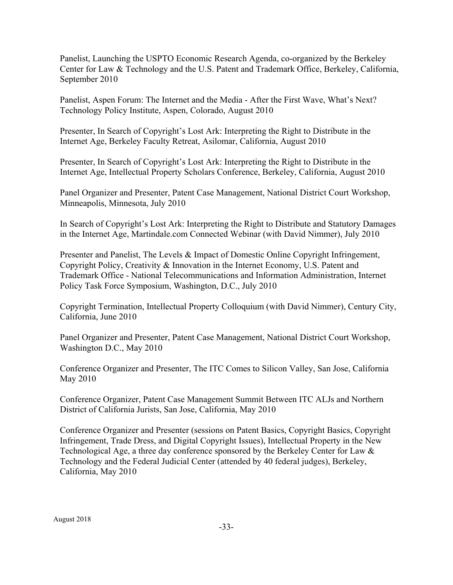Panelist, Launching the USPTO Economic Research Agenda, co-organized by the Berkeley Center for Law & Technology and the U.S. Patent and Trademark Office, Berkeley, California, September 2010

Panelist, Aspen Forum: The Internet and the Media - After the First Wave, What's Next? Technology Policy Institute, Aspen, Colorado, August 2010

Presenter, In Search of Copyright's Lost Ark: Interpreting the Right to Distribute in the Internet Age, Berkeley Faculty Retreat, Asilomar, California, August 2010

Presenter, In Search of Copyright's Lost Ark: Interpreting the Right to Distribute in the Internet Age, Intellectual Property Scholars Conference, Berkeley, California, August 2010

Panel Organizer and Presenter, Patent Case Management, National District Court Workshop, Minneapolis, Minnesota, July 2010

In Search of Copyright's Lost Ark: Interpreting the Right to Distribute and Statutory Damages in the Internet Age, Martindale.com Connected Webinar (with David Nimmer), July 2010

Presenter and Panelist, The Levels & Impact of Domestic Online Copyright Infringement, Copyright Policy, Creativity & Innovation in the Internet Economy, U.S. Patent and Trademark Office - National Telecommunications and Information Administration, Internet Policy Task Force Symposium, Washington, D.C., July 2010

Copyright Termination, Intellectual Property Colloquium (with David Nimmer), Century City, California, June 2010

Panel Organizer and Presenter, Patent Case Management, National District Court Workshop, Washington D.C., May 2010

Conference Organizer and Presenter, The ITC Comes to Silicon Valley, San Jose, California May 2010

Conference Organizer, Patent Case Management Summit Between ITC ALJs and Northern District of California Jurists, San Jose, California, May 2010

Conference Organizer and Presenter (sessions on Patent Basics, Copyright Basics, Copyright Infringement, Trade Dress, and Digital Copyright Issues), Intellectual Property in the New Technological Age, a three day conference sponsored by the Berkeley Center for Law & Technology and the Federal Judicial Center (attended by 40 federal judges), Berkeley, California, May 2010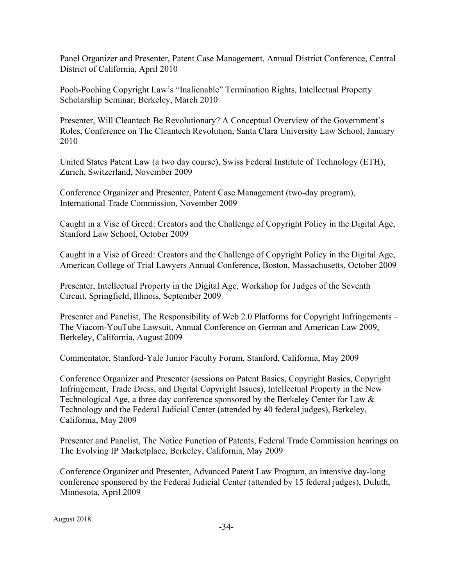Panel Organizer and Presenter, Patent Case Management, Annual District Conference, Central District of California, April 2010

Pooh-Poohing Copyright Law's "Inalienable" Termination Rights, Intellectual Property Scholarship Seminar, Berkeley, March 2010

Presenter, Will Cleantech Be Revolutionary? A Conceptual Overview of the Government's Roles, Conference on The Cleantech Revolution, Santa Clara University Law School, January 2010

United States Patent Law (a two day course), Swiss Federal Institute of Technology (ETH), Zurich, Switzerland, November 2009

Conference Organizer and Presenter, Patent Case Management (two-day program), International Trade Commission, November 2009

Caught in a Vise of Greed: Creators and the Challenge of Copyright Policy in the Digital Age, Stanford Law School, October 2009

Caught in a Vise of Greed: Creators and the Challenge of Copyright Policy in the Digital Age, American College of Trial Lawyers Annual Conference, Boston, Massachusetts, October 2009

Presenter, Intellectual Property in the Digital Age, Workshop for Judges of the Seventh Circuit, Springfield, Illinois, September 2009

Presenter and Panelist, The Responsibility of Web 2.0 Platforms for Copyright Infringements – The Viacom-YouTube Lawsuit, Annual Conference on German and American Law 2009, Berkeley, California, August 2009

Commentator, Stanford-Yale Junior Faculty Forum, Stanford, California, May 2009

Conference Organizer and Presenter (sessions on Patent Basics, Copyright Basics, Copyright Infringement, Trade Dress, and Digital Copyright Issues), Intellectual Property in the New Technological Age, a three day conference sponsored by the Berkeley Center for Law & Technology and the Federal Judicial Center (attended by 40 federal judges), Berkeley, California, May 2009

Presenter and Panelist, The Notice Function of Patents, Federal Trade Commission hearings on The Evolving IP Marketplace, Berkeley, California, May 2009

Conference Organizer and Presenter, Advanced Patent Law Program, an intensive day-long conference sponsored by the Federal Judicial Center (attended by 15 federal judges), Duluth, Minnesota, April 2009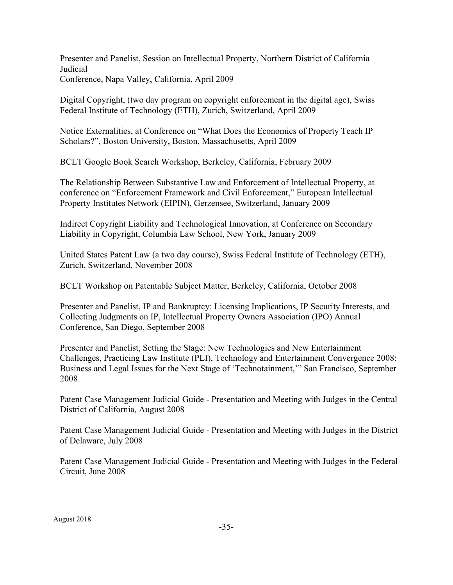Presenter and Panelist, Session on Intellectual Property, Northern District of California Judicial Conference, Napa Valley, California, April 2009

Digital Copyright, (two day program on copyright enforcement in the digital age), Swiss Federal Institute of Technology (ETH), Zurich, Switzerland, April 2009

Notice Externalities, at Conference on "What Does the Economics of Property Teach IP Scholars?", Boston University, Boston, Massachusetts, April 2009

BCLT Google Book Search Workshop, Berkeley, California, February 2009

The Relationship Between Substantive Law and Enforcement of Intellectual Property, at conference on "Enforcement Framework and Civil Enforcement," European Intellectual Property Institutes Network (EIPIN), Gerzensee, Switzerland, January 2009

Indirect Copyright Liability and Technological Innovation, at Conference on Secondary Liability in Copyright, Columbia Law School, New York, January 2009

United States Patent Law (a two day course), Swiss Federal Institute of Technology (ETH), Zurich, Switzerland, November 2008

BCLT Workshop on Patentable Subject Matter, Berkeley, California, October 2008

Presenter and Panelist, IP and Bankruptcy: Licensing Implications, IP Security Interests, and Collecting Judgments on IP, Intellectual Property Owners Association (IPO) Annual Conference, San Diego, September 2008

Presenter and Panelist, Setting the Stage: New Technologies and New Entertainment Challenges, Practicing Law Institute (PLI), Technology and Entertainment Convergence 2008: Business and Legal Issues for the Next Stage of 'Technotainment,'" San Francisco, September 2008

Patent Case Management Judicial Guide - Presentation and Meeting with Judges in the Central District of California, August 2008

Patent Case Management Judicial Guide - Presentation and Meeting with Judges in the District of Delaware, July 2008

Patent Case Management Judicial Guide - Presentation and Meeting with Judges in the Federal Circuit, June 2008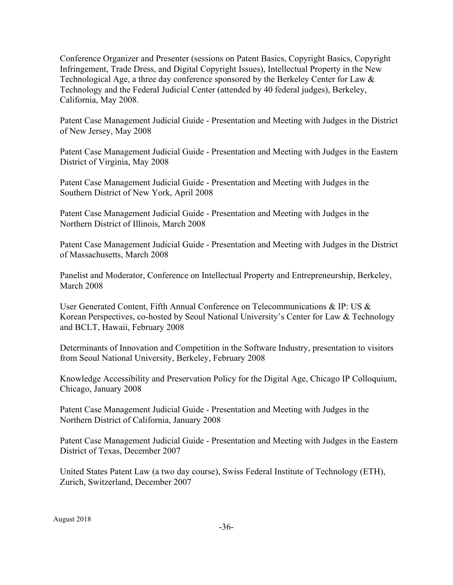Conference Organizer and Presenter (sessions on Patent Basics, Copyright Basics, Copyright Infringement, Trade Dress, and Digital Copyright Issues), Intellectual Property in the New Technological Age, a three day conference sponsored by the Berkeley Center for Law  $\&$ Technology and the Federal Judicial Center (attended by 40 federal judges), Berkeley, California, May 2008.

Patent Case Management Judicial Guide - Presentation and Meeting with Judges in the District of New Jersey, May 2008

Patent Case Management Judicial Guide - Presentation and Meeting with Judges in the Eastern District of Virginia, May 2008

Patent Case Management Judicial Guide - Presentation and Meeting with Judges in the Southern District of New York, April 2008

Patent Case Management Judicial Guide - Presentation and Meeting with Judges in the Northern District of Illinois, March 2008

Patent Case Management Judicial Guide - Presentation and Meeting with Judges in the District of Massachusetts, March 2008

Panelist and Moderator, Conference on Intellectual Property and Entrepreneurship, Berkeley, March 2008

User Generated Content, Fifth Annual Conference on Telecommunications & IP: US & Korean Perspectives, co-hosted by Seoul National University's Center for Law & Technology and BCLT, Hawaii, February 2008

Determinants of Innovation and Competition in the Software Industry, presentation to visitors from Seoul National University, Berkeley, February 2008

Knowledge Accessibility and Preservation Policy for the Digital Age, Chicago IP Colloquium, Chicago, January 2008

Patent Case Management Judicial Guide - Presentation and Meeting with Judges in the Northern District of California, January 2008

Patent Case Management Judicial Guide - Presentation and Meeting with Judges in the Eastern District of Texas, December 2007

United States Patent Law (a two day course), Swiss Federal Institute of Technology (ETH), Zurich, Switzerland, December 2007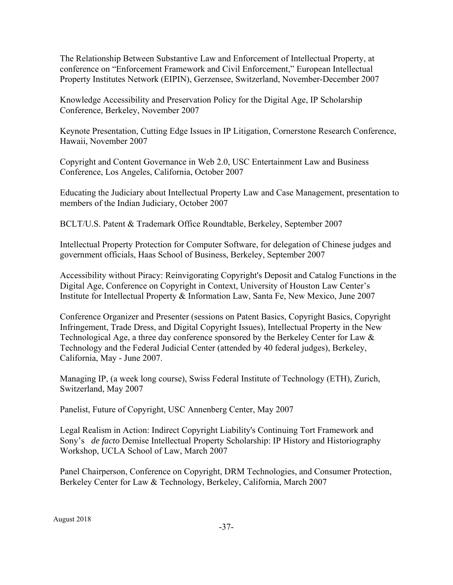The Relationship Between Substantive Law and Enforcement of Intellectual Property, at conference on "Enforcement Framework and Civil Enforcement," European Intellectual Property Institutes Network (EIPIN), Gerzensee, Switzerland, November-December 2007

Knowledge Accessibility and Preservation Policy for the Digital Age, IP Scholarship Conference, Berkeley, November 2007

Keynote Presentation, Cutting Edge Issues in IP Litigation, Cornerstone Research Conference, Hawaii, November 2007

Copyright and Content Governance in Web 2.0, USC Entertainment Law and Business Conference, Los Angeles, California, October 2007

Educating the Judiciary about Intellectual Property Law and Case Management, presentation to members of the Indian Judiciary, October 2007

BCLT/U.S. Patent & Trademark Office Roundtable, Berkeley, September 2007

Intellectual Property Protection for Computer Software, for delegation of Chinese judges and government officials, Haas School of Business, Berkeley, September 2007

Accessibility without Piracy: Reinvigorating Copyright's Deposit and Catalog Functions in the Digital Age, Conference on Copyright in Context, University of Houston Law Center's Institute for Intellectual Property & Information Law, Santa Fe, New Mexico, June 2007

Conference Organizer and Presenter (sessions on Patent Basics, Copyright Basics, Copyright Infringement, Trade Dress, and Digital Copyright Issues), Intellectual Property in the New Technological Age, a three day conference sponsored by the Berkeley Center for Law & Technology and the Federal Judicial Center (attended by 40 federal judges), Berkeley, California, May - June 2007.

Managing IP, (a week long course), Swiss Federal Institute of Technology (ETH), Zurich, Switzerland, May 2007

Panelist, Future of Copyright, USC Annenberg Center, May 2007

Legal Realism in Action: Indirect Copyright Liability's Continuing Tort Framework and Sony's *de facto* Demise Intellectual Property Scholarship: IP History and Historiography Workshop, UCLA School of Law, March 2007

Panel Chairperson, Conference on Copyright, DRM Technologies, and Consumer Protection, Berkeley Center for Law & Technology, Berkeley, California, March 2007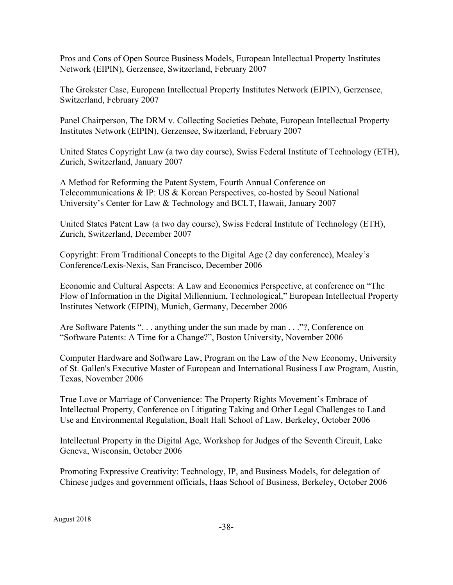Pros and Cons of Open Source Business Models, European Intellectual Property Institutes Network (EIPIN), Gerzensee, Switzerland, February 2007

The Grokster Case, European Intellectual Property Institutes Network (EIPIN), Gerzensee, Switzerland, February 2007

Panel Chairperson, The DRM v. Collecting Societies Debate, European Intellectual Property Institutes Network (EIPIN), Gerzensee, Switzerland, February 2007

United States Copyright Law (a two day course), Swiss Federal Institute of Technology (ETH), Zurich, Switzerland, January 2007

A Method for Reforming the Patent System, Fourth Annual Conference on Telecommunications & IP: US & Korean Perspectives, co-hosted by Seoul National University's Center for Law & Technology and BCLT, Hawaii, January 2007

United States Patent Law (a two day course), Swiss Federal Institute of Technology (ETH), Zurich, Switzerland, December 2007

Copyright: From Traditional Concepts to the Digital Age (2 day conference), Mealey's Conference/Lexis-Nexis, San Francisco, December 2006

Economic and Cultural Aspects: A Law and Economics Perspective, at conference on "The Flow of Information in the Digital Millennium, Technological," European Intellectual Property Institutes Network (EIPIN), Munich, Germany, December 2006

Are Software Patents ". . . anything under the sun made by man . . ."?, Conference on "Software Patents: A Time for a Change?", Boston University, November 2006

Computer Hardware and Software Law, Program on the Law of the New Economy, University of St. Gallen's Executive Master of European and International Business Law Program, Austin, Texas, November 2006

True Love or Marriage of Convenience: The Property Rights Movement's Embrace of Intellectual Property, Conference on Litigating Taking and Other Legal Challenges to Land Use and Environmental Regulation, Boalt Hall School of Law, Berkeley, October 2006

Intellectual Property in the Digital Age, Workshop for Judges of the Seventh Circuit, Lake Geneva, Wisconsin, October 2006

Promoting Expressive Creativity: Technology, IP, and Business Models, for delegation of Chinese judges and government officials, Haas School of Business, Berkeley, October 2006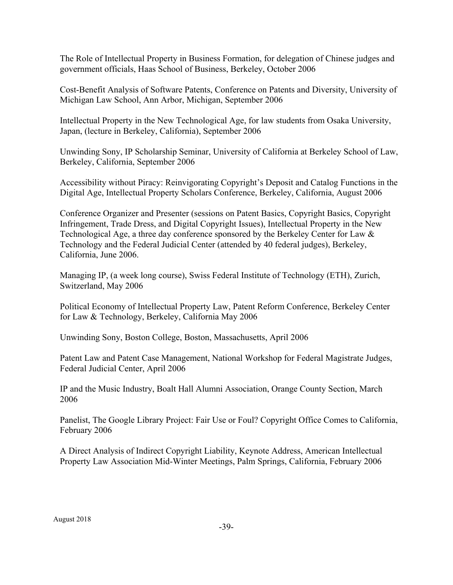The Role of Intellectual Property in Business Formation, for delegation of Chinese judges and government officials, Haas School of Business, Berkeley, October 2006

Cost-Benefit Analysis of Software Patents, Conference on Patents and Diversity, University of Michigan Law School, Ann Arbor, Michigan, September 2006

Intellectual Property in the New Technological Age, for law students from Osaka University, Japan, (lecture in Berkeley, California), September 2006

Unwinding Sony, IP Scholarship Seminar, University of California at Berkeley School of Law, Berkeley, California, September 2006

Accessibility without Piracy: Reinvigorating Copyright's Deposit and Catalog Functions in the Digital Age, Intellectual Property Scholars Conference, Berkeley, California, August 2006

Conference Organizer and Presenter (sessions on Patent Basics, Copyright Basics, Copyright Infringement, Trade Dress, and Digital Copyright Issues), Intellectual Property in the New Technological Age, a three day conference sponsored by the Berkeley Center for Law & Technology and the Federal Judicial Center (attended by 40 federal judges), Berkeley, California, June 2006.

Managing IP, (a week long course), Swiss Federal Institute of Technology (ETH), Zurich, Switzerland, May 2006

Political Economy of Intellectual Property Law, Patent Reform Conference, Berkeley Center for Law & Technology, Berkeley, California May 2006

Unwinding Sony, Boston College, Boston, Massachusetts, April 2006

Patent Law and Patent Case Management, National Workshop for Federal Magistrate Judges, Federal Judicial Center, April 2006

IP and the Music Industry, Boalt Hall Alumni Association, Orange County Section, March 2006

Panelist, The Google Library Project: Fair Use or Foul? Copyright Office Comes to California, February 2006

A Direct Analysis of Indirect Copyright Liability, Keynote Address, American Intellectual Property Law Association Mid-Winter Meetings, Palm Springs, California, February 2006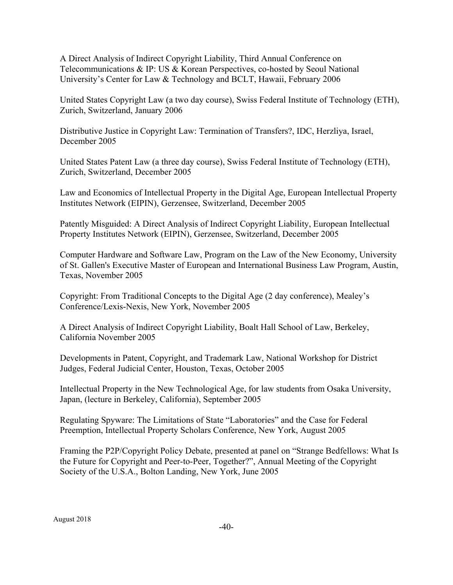A Direct Analysis of Indirect Copyright Liability, Third Annual Conference on Telecommunications & IP: US & Korean Perspectives, co-hosted by Seoul National University's Center for Law & Technology and BCLT, Hawaii, February 2006

United States Copyright Law (a two day course), Swiss Federal Institute of Technology (ETH), Zurich, Switzerland, January 2006

Distributive Justice in Copyright Law: Termination of Transfers?, IDC, Herzliya, Israel, December 2005

United States Patent Law (a three day course), Swiss Federal Institute of Technology (ETH), Zurich, Switzerland, December 2005

Law and Economics of Intellectual Property in the Digital Age, European Intellectual Property Institutes Network (EIPIN), Gerzensee, Switzerland, December 2005

Patently Misguided: A Direct Analysis of Indirect Copyright Liability, European Intellectual Property Institutes Network (EIPIN), Gerzensee, Switzerland, December 2005

Computer Hardware and Software Law, Program on the Law of the New Economy, University of St. Gallen's Executive Master of European and International Business Law Program, Austin, Texas, November 2005

Copyright: From Traditional Concepts to the Digital Age (2 day conference), Mealey's Conference/Lexis-Nexis, New York, November 2005

A Direct Analysis of Indirect Copyright Liability, Boalt Hall School of Law, Berkeley, California November 2005

Developments in Patent, Copyright, and Trademark Law, National Workshop for District Judges, Federal Judicial Center, Houston, Texas, October 2005

Intellectual Property in the New Technological Age, for law students from Osaka University, Japan, (lecture in Berkeley, California), September 2005

Regulating Spyware: The Limitations of State "Laboratories" and the Case for Federal Preemption, Intellectual Property Scholars Conference, New York, August 2005

Framing the P2P/Copyright Policy Debate, presented at panel on "Strange Bedfellows: What Is the Future for Copyright and Peer-to-Peer, Together?", Annual Meeting of the Copyright Society of the U.S.A., Bolton Landing, New York, June 2005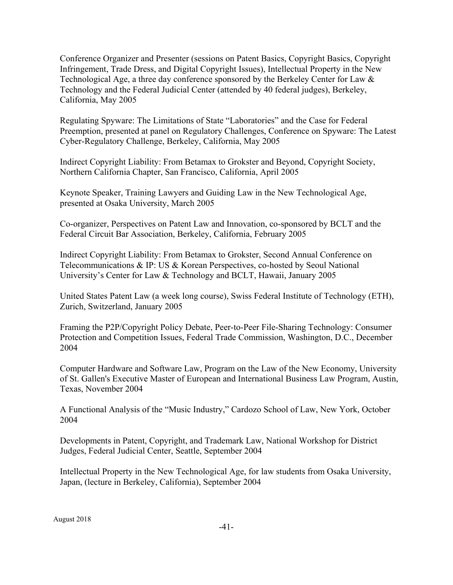Conference Organizer and Presenter (sessions on Patent Basics, Copyright Basics, Copyright Infringement, Trade Dress, and Digital Copyright Issues), Intellectual Property in the New Technological Age, a three day conference sponsored by the Berkeley Center for Law  $\&$ Technology and the Federal Judicial Center (attended by 40 federal judges), Berkeley, California, May 2005

Regulating Spyware: The Limitations of State "Laboratories" and the Case for Federal Preemption, presented at panel on Regulatory Challenges, Conference on Spyware: The Latest Cyber-Regulatory Challenge, Berkeley, California, May 2005

Indirect Copyright Liability: From Betamax to Grokster and Beyond, Copyright Society, Northern California Chapter, San Francisco, California, April 2005

Keynote Speaker, Training Lawyers and Guiding Law in the New Technological Age, presented at Osaka University, March 2005

Co-organizer, Perspectives on Patent Law and Innovation, co-sponsored by BCLT and the Federal Circuit Bar Association, Berkeley, California, February 2005

Indirect Copyright Liability: From Betamax to Grokster, Second Annual Conference on Telecommunications & IP: US & Korean Perspectives, co-hosted by Seoul National University's Center for Law & Technology and BCLT, Hawaii, January 2005

United States Patent Law (a week long course), Swiss Federal Institute of Technology (ETH), Zurich, Switzerland, January 2005

Framing the P2P/Copyright Policy Debate, Peer-to-Peer File-Sharing Technology: Consumer Protection and Competition Issues, Federal Trade Commission, Washington, D.C., December 2004

Computer Hardware and Software Law, Program on the Law of the New Economy, University of St. Gallen's Executive Master of European and International Business Law Program, Austin, Texas, November 2004

A Functional Analysis of the "Music Industry," Cardozo School of Law, New York, October 2004

Developments in Patent, Copyright, and Trademark Law, National Workshop for District Judges, Federal Judicial Center, Seattle, September 2004

Intellectual Property in the New Technological Age, for law students from Osaka University, Japan, (lecture in Berkeley, California), September 2004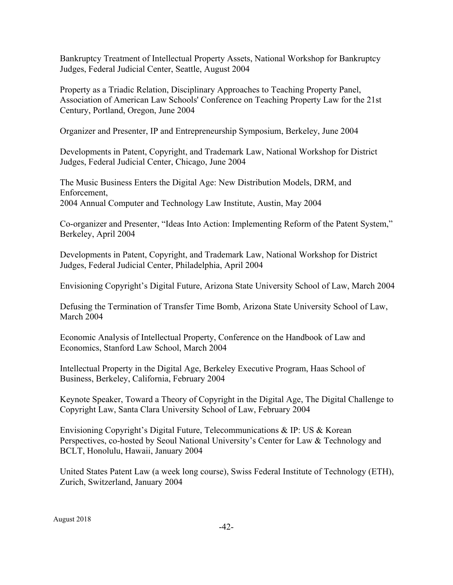Bankruptcy Treatment of Intellectual Property Assets, National Workshop for Bankruptcy Judges, Federal Judicial Center, Seattle, August 2004

Property as a Triadic Relation, Disciplinary Approaches to Teaching Property Panel, Association of American Law Schools' Conference on Teaching Property Law for the 21st Century, Portland, Oregon, June 2004

Organizer and Presenter, IP and Entrepreneurship Symposium, Berkeley, June 2004

Developments in Patent, Copyright, and Trademark Law, National Workshop for District Judges, Federal Judicial Center, Chicago, June 2004

The Music Business Enters the Digital Age: New Distribution Models, DRM, and Enforcement, 2004 Annual Computer and Technology Law Institute, Austin, May 2004

Co-organizer and Presenter, "Ideas Into Action: Implementing Reform of the Patent System," Berkeley, April 2004

Developments in Patent, Copyright, and Trademark Law, National Workshop for District Judges, Federal Judicial Center, Philadelphia, April 2004

Envisioning Copyright's Digital Future, Arizona State University School of Law, March 2004

Defusing the Termination of Transfer Time Bomb, Arizona State University School of Law, March 2004

Economic Analysis of Intellectual Property, Conference on the Handbook of Law and Economics, Stanford Law School, March 2004

Intellectual Property in the Digital Age, Berkeley Executive Program, Haas School of Business, Berkeley, California, February 2004

Keynote Speaker, Toward a Theory of Copyright in the Digital Age, The Digital Challenge to Copyright Law, Santa Clara University School of Law, February 2004

Envisioning Copyright's Digital Future, Telecommunications & IP: US & Korean Perspectives, co-hosted by Seoul National University's Center for Law & Technology and BCLT, Honolulu, Hawaii, January 2004

United States Patent Law (a week long course), Swiss Federal Institute of Technology (ETH), Zurich, Switzerland, January 2004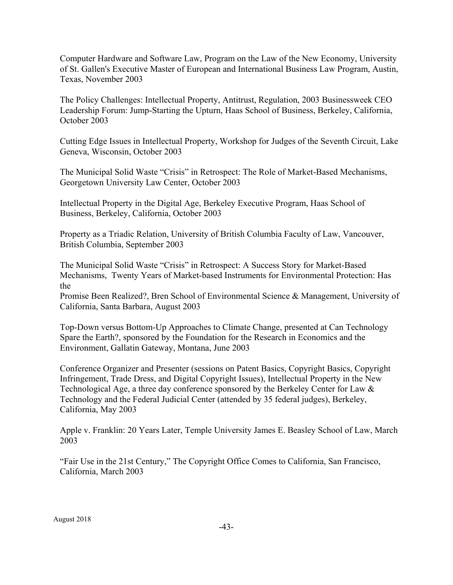Computer Hardware and Software Law, Program on the Law of the New Economy, University of St. Gallen's Executive Master of European and International Business Law Program, Austin, Texas, November 2003

The Policy Challenges: Intellectual Property, Antitrust, Regulation, 2003 Businessweek CEO Leadership Forum: Jump-Starting the Upturn, Haas School of Business, Berkeley, California, October 2003

Cutting Edge Issues in Intellectual Property, Workshop for Judges of the Seventh Circuit, Lake Geneva, Wisconsin, October 2003

The Municipal Solid Waste "Crisis" in Retrospect: The Role of Market-Based Mechanisms, Georgetown University Law Center, October 2003

Intellectual Property in the Digital Age, Berkeley Executive Program, Haas School of Business, Berkeley, California, October 2003

Property as a Triadic Relation, University of British Columbia Faculty of Law, Vancouver, British Columbia, September 2003

The Municipal Solid Waste "Crisis" in Retrospect: A Success Story for Market-Based Mechanisms, Twenty Years of Market-based Instruments for Environmental Protection: Has the

Promise Been Realized?, Bren School of Environmental Science & Management, University of California, Santa Barbara, August 2003

Top-Down versus Bottom-Up Approaches to Climate Change, presented at Can Technology Spare the Earth?, sponsored by the Foundation for the Research in Economics and the Environment, Gallatin Gateway, Montana, June 2003

Conference Organizer and Presenter (sessions on Patent Basics, Copyright Basics, Copyright Infringement, Trade Dress, and Digital Copyright Issues), Intellectual Property in the New Technological Age, a three day conference sponsored by the Berkeley Center for Law & Technology and the Federal Judicial Center (attended by 35 federal judges), Berkeley, California, May 2003

Apple v. Franklin: 20 Years Later, Temple University James E. Beasley School of Law, March 2003

"Fair Use in the 21st Century," The Copyright Office Comes to California, San Francisco, California, March 2003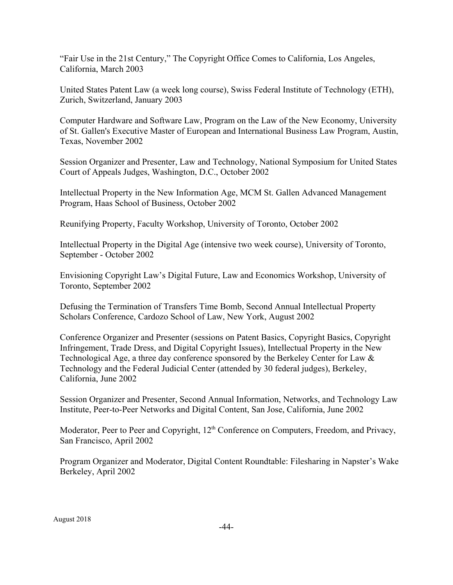"Fair Use in the 21st Century," The Copyright Office Comes to California, Los Angeles, California, March 2003

United States Patent Law (a week long course), Swiss Federal Institute of Technology (ETH), Zurich, Switzerland, January 2003

Computer Hardware and Software Law, Program on the Law of the New Economy, University of St. Gallen's Executive Master of European and International Business Law Program, Austin, Texas, November 2002

Session Organizer and Presenter, Law and Technology, National Symposium for United States Court of Appeals Judges, Washington, D.C., October 2002

Intellectual Property in the New Information Age, MCM St. Gallen Advanced Management Program, Haas School of Business, October 2002

Reunifying Property, Faculty Workshop, University of Toronto, October 2002

Intellectual Property in the Digital Age (intensive two week course), University of Toronto, September - October 2002

Envisioning Copyright Law's Digital Future, Law and Economics Workshop, University of Toronto, September 2002

Defusing the Termination of Transfers Time Bomb, Second Annual Intellectual Property Scholars Conference, Cardozo School of Law, New York, August 2002

Conference Organizer and Presenter (sessions on Patent Basics, Copyright Basics, Copyright Infringement, Trade Dress, and Digital Copyright Issues), Intellectual Property in the New Technological Age, a three day conference sponsored by the Berkeley Center for Law  $\&$ Technology and the Federal Judicial Center (attended by 30 federal judges), Berkeley, California, June 2002

Session Organizer and Presenter, Second Annual Information, Networks, and Technology Law Institute, Peer-to-Peer Networks and Digital Content, San Jose, California, June 2002

Moderator, Peer to Peer and Copyright,  $12<sup>th</sup>$  Conference on Computers, Freedom, and Privacy, San Francisco, April 2002

Program Organizer and Moderator, Digital Content Roundtable: Filesharing in Napster's Wake Berkeley, April 2002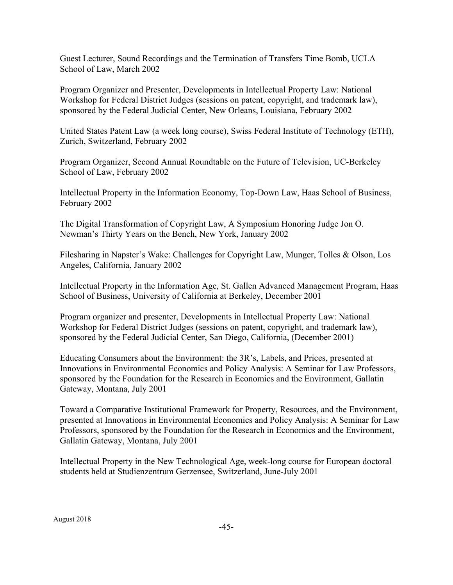Guest Lecturer, Sound Recordings and the Termination of Transfers Time Bomb, UCLA School of Law, March 2002

Program Organizer and Presenter, Developments in Intellectual Property Law: National Workshop for Federal District Judges (sessions on patent, copyright, and trademark law), sponsored by the Federal Judicial Center, New Orleans, Louisiana, February 2002

United States Patent Law (a week long course), Swiss Federal Institute of Technology (ETH), Zurich, Switzerland, February 2002

Program Organizer, Second Annual Roundtable on the Future of Television, UC-Berkeley School of Law, February 2002

Intellectual Property in the Information Economy, Top-Down Law, Haas School of Business, February 2002

The Digital Transformation of Copyright Law, A Symposium Honoring Judge Jon O. Newman's Thirty Years on the Bench, New York, January 2002

Filesharing in Napster's Wake: Challenges for Copyright Law, Munger, Tolles & Olson, Los Angeles, California, January 2002

Intellectual Property in the Information Age, St. Gallen Advanced Management Program, Haas School of Business, University of California at Berkeley, December 2001

Program organizer and presenter, Developments in Intellectual Property Law: National Workshop for Federal District Judges (sessions on patent, copyright, and trademark law), sponsored by the Federal Judicial Center, San Diego, California, (December 2001)

Educating Consumers about the Environment: the 3R's, Labels, and Prices, presented at Innovations in Environmental Economics and Policy Analysis: A Seminar for Law Professors, sponsored by the Foundation for the Research in Economics and the Environment, Gallatin Gateway, Montana, July 2001

Toward a Comparative Institutional Framework for Property, Resources, and the Environment, presented at Innovations in Environmental Economics and Policy Analysis: A Seminar for Law Professors, sponsored by the Foundation for the Research in Economics and the Environment, Gallatin Gateway, Montana, July 2001

Intellectual Property in the New Technological Age, week-long course for European doctoral students held at Studienzentrum Gerzensee, Switzerland, June-July 2001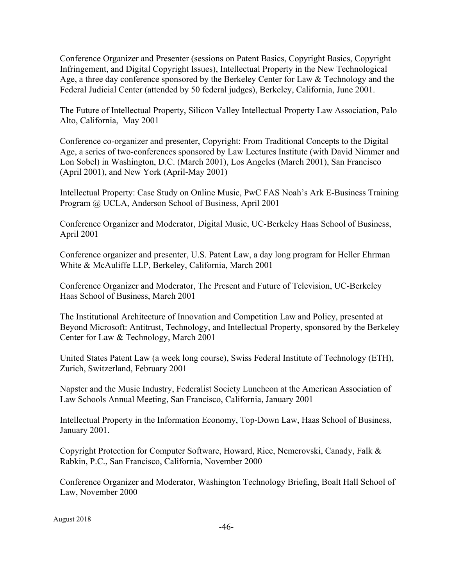Conference Organizer and Presenter (sessions on Patent Basics, Copyright Basics, Copyright Infringement, and Digital Copyright Issues), Intellectual Property in the New Technological Age, a three day conference sponsored by the Berkeley Center for Law & Technology and the Federal Judicial Center (attended by 50 federal judges), Berkeley, California, June 2001.

The Future of Intellectual Property, Silicon Valley Intellectual Property Law Association, Palo Alto, California, May 2001

Conference co-organizer and presenter, Copyright: From Traditional Concepts to the Digital Age, a series of two-conferences sponsored by Law Lectures Institute (with David Nimmer and Lon Sobel) in Washington, D.C. (March 2001), Los Angeles (March 2001), San Francisco (April 2001), and New York (April-May 2001)

Intellectual Property: Case Study on Online Music, PwC FAS Noah's Ark E-Business Training Program @ UCLA, Anderson School of Business, April 2001

Conference Organizer and Moderator, Digital Music, UC-Berkeley Haas School of Business, April 2001

Conference organizer and presenter, U.S. Patent Law, a day long program for Heller Ehrman White & McAuliffe LLP, Berkeley, California, March 2001

Conference Organizer and Moderator, The Present and Future of Television, UC-Berkeley Haas School of Business, March 2001

The Institutional Architecture of Innovation and Competition Law and Policy, presented at Beyond Microsoft: Antitrust, Technology, and Intellectual Property, sponsored by the Berkeley Center for Law & Technology, March 2001

United States Patent Law (a week long course), Swiss Federal Institute of Technology (ETH), Zurich, Switzerland, February 2001

Napster and the Music Industry, Federalist Society Luncheon at the American Association of Law Schools Annual Meeting, San Francisco, California, January 2001

Intellectual Property in the Information Economy, Top-Down Law, Haas School of Business, January 2001.

Copyright Protection for Computer Software, Howard, Rice, Nemerovski, Canady, Falk & Rabkin, P.C., San Francisco, California, November 2000

Conference Organizer and Moderator, Washington Technology Briefing, Boalt Hall School of Law, November 2000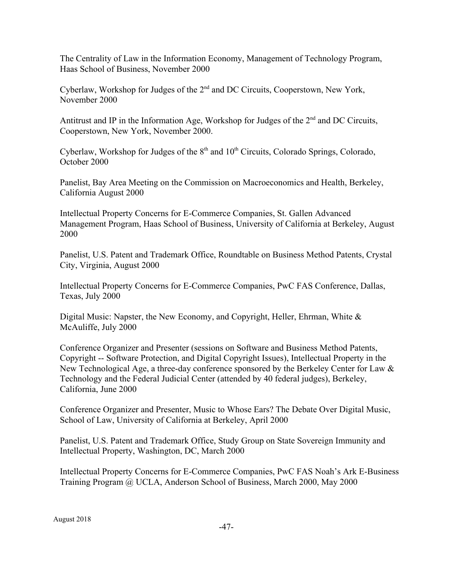The Centrality of Law in the Information Economy, Management of Technology Program, Haas School of Business, November 2000

Cyberlaw, Workshop for Judges of the 2nd and DC Circuits, Cooperstown, New York, November 2000

Antitrust and IP in the Information Age, Workshop for Judges of the 2<sup>nd</sup> and DC Circuits, Cooperstown, New York, November 2000.

Cyberlaw, Workshop for Judges of the  $8<sup>th</sup>$  and  $10<sup>th</sup>$  Circuits, Colorado Springs, Colorado, October 2000

Panelist, Bay Area Meeting on the Commission on Macroeconomics and Health, Berkeley, California August 2000

Intellectual Property Concerns for E-Commerce Companies, St. Gallen Advanced Management Program, Haas School of Business, University of California at Berkeley, August 2000

Panelist, U.S. Patent and Trademark Office, Roundtable on Business Method Patents, Crystal City, Virginia, August 2000

Intellectual Property Concerns for E-Commerce Companies, PwC FAS Conference, Dallas, Texas, July 2000

Digital Music: Napster, the New Economy, and Copyright, Heller, Ehrman, White & McAuliffe, July 2000

Conference Organizer and Presenter (sessions on Software and Business Method Patents, Copyright -- Software Protection, and Digital Copyright Issues), Intellectual Property in the New Technological Age, a three-day conference sponsored by the Berkeley Center for Law & Technology and the Federal Judicial Center (attended by 40 federal judges), Berkeley, California, June 2000

Conference Organizer and Presenter, Music to Whose Ears? The Debate Over Digital Music, School of Law, University of California at Berkeley, April 2000

Panelist, U.S. Patent and Trademark Office, Study Group on State Sovereign Immunity and Intellectual Property, Washington, DC, March 2000

Intellectual Property Concerns for E-Commerce Companies, PwC FAS Noah's Ark E-Business Training Program @ UCLA, Anderson School of Business, March 2000, May 2000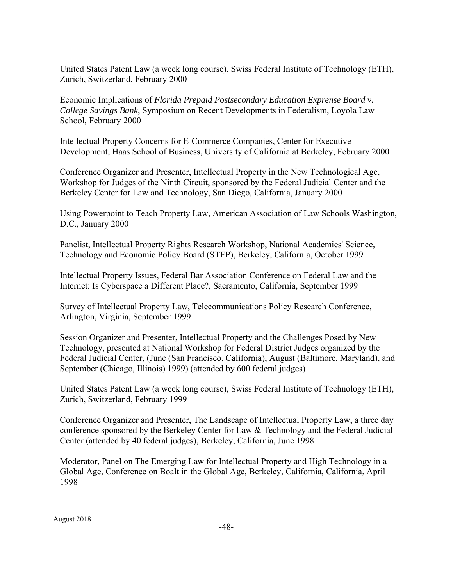United States Patent Law (a week long course), Swiss Federal Institute of Technology (ETH), Zurich, Switzerland, February 2000

Economic Implications of *Florida Prepaid Postsecondary Education Exprense Board v. College Savings Bank*, Symposium on Recent Developments in Federalism, Loyola Law School, February 2000

Intellectual Property Concerns for E-Commerce Companies, Center for Executive Development, Haas School of Business, University of California at Berkeley, February 2000

Conference Organizer and Presenter, Intellectual Property in the New Technological Age, Workshop for Judges of the Ninth Circuit, sponsored by the Federal Judicial Center and the Berkeley Center for Law and Technology, San Diego, California, January 2000

Using Powerpoint to Teach Property Law, American Association of Law Schools Washington, D.C., January 2000

Panelist, Intellectual Property Rights Research Workshop, National Academies' Science, Technology and Economic Policy Board (STEP), Berkeley, California, October 1999

Intellectual Property Issues, Federal Bar Association Conference on Federal Law and the Internet: Is Cyberspace a Different Place?, Sacramento, California, September 1999

Survey of Intellectual Property Law, Telecommunications Policy Research Conference, Arlington, Virginia, September 1999

Session Organizer and Presenter, Intellectual Property and the Challenges Posed by New Technology, presented at National Workshop for Federal District Judges organized by the Federal Judicial Center, (June (San Francisco, California), August (Baltimore, Maryland), and September (Chicago, Illinois) 1999) (attended by 600 federal judges)

United States Patent Law (a week long course), Swiss Federal Institute of Technology (ETH), Zurich, Switzerland, February 1999

Conference Organizer and Presenter, The Landscape of Intellectual Property Law, a three day conference sponsored by the Berkeley Center for Law & Technology and the Federal Judicial Center (attended by 40 federal judges), Berkeley, California, June 1998

Moderator, Panel on The Emerging Law for Intellectual Property and High Technology in a Global Age, Conference on Boalt in the Global Age, Berkeley, California, California, April 1998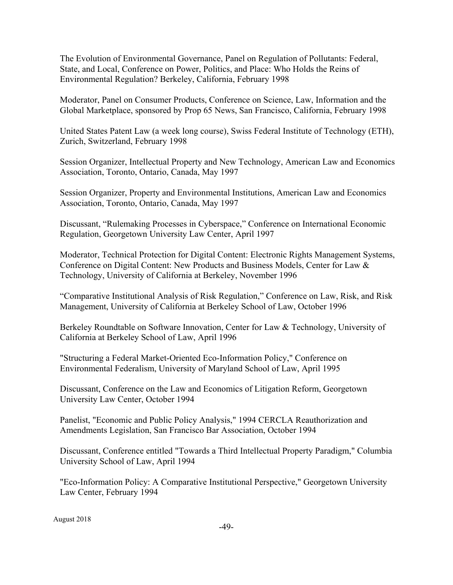The Evolution of Environmental Governance, Panel on Regulation of Pollutants: Federal, State, and Local, Conference on Power, Politics, and Place: Who Holds the Reins of Environmental Regulation? Berkeley, California, February 1998

Moderator, Panel on Consumer Products, Conference on Science, Law, Information and the Global Marketplace, sponsored by Prop 65 News, San Francisco, California, February 1998

United States Patent Law (a week long course), Swiss Federal Institute of Technology (ETH), Zurich, Switzerland, February 1998

Session Organizer, Intellectual Property and New Technology, American Law and Economics Association, Toronto, Ontario, Canada, May 1997

Session Organizer, Property and Environmental Institutions, American Law and Economics Association, Toronto, Ontario, Canada, May 1997

Discussant, "Rulemaking Processes in Cyberspace," Conference on International Economic Regulation, Georgetown University Law Center, April 1997

Moderator, Technical Protection for Digital Content: Electronic Rights Management Systems, Conference on Digital Content: New Products and Business Models, Center for Law & Technology, University of California at Berkeley, November 1996

"Comparative Institutional Analysis of Risk Regulation," Conference on Law, Risk, and Risk Management, University of California at Berkeley School of Law, October 1996

Berkeley Roundtable on Software Innovation, Center for Law & Technology, University of California at Berkeley School of Law, April 1996

"Structuring a Federal Market-Oriented Eco-Information Policy," Conference on Environmental Federalism, University of Maryland School of Law, April 1995

Discussant, Conference on the Law and Economics of Litigation Reform, Georgetown University Law Center, October 1994

Panelist, "Economic and Public Policy Analysis," 1994 CERCLA Reauthorization and Amendments Legislation, San Francisco Bar Association, October 1994

Discussant, Conference entitled "Towards a Third Intellectual Property Paradigm," Columbia University School of Law, April 1994

"Eco-Information Policy: A Comparative Institutional Perspective," Georgetown University Law Center, February 1994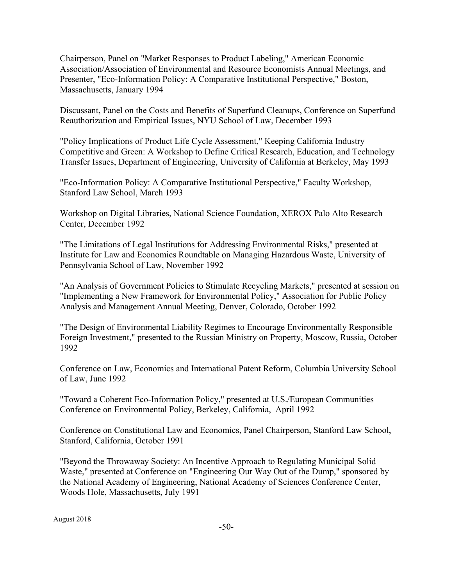Chairperson, Panel on "Market Responses to Product Labeling," American Economic Association/Association of Environmental and Resource Economists Annual Meetings, and Presenter, "Eco-Information Policy: A Comparative Institutional Perspective," Boston, Massachusetts, January 1994

Discussant, Panel on the Costs and Benefits of Superfund Cleanups, Conference on Superfund Reauthorization and Empirical Issues, NYU School of Law, December 1993

"Policy Implications of Product Life Cycle Assessment," Keeping California Industry Competitive and Green: A Workshop to Define Critical Research, Education, and Technology Transfer Issues, Department of Engineering, University of California at Berkeley, May 1993

"Eco-Information Policy: A Comparative Institutional Perspective," Faculty Workshop, Stanford Law School, March 1993

Workshop on Digital Libraries, National Science Foundation, XEROX Palo Alto Research Center, December 1992

"The Limitations of Legal Institutions for Addressing Environmental Risks," presented at Institute for Law and Economics Roundtable on Managing Hazardous Waste, University of Pennsylvania School of Law, November 1992

"An Analysis of Government Policies to Stimulate Recycling Markets," presented at session on "Implementing a New Framework for Environmental Policy," Association for Public Policy Analysis and Management Annual Meeting, Denver, Colorado, October 1992

"The Design of Environmental Liability Regimes to Encourage Environmentally Responsible Foreign Investment," presented to the Russian Ministry on Property, Moscow, Russia, October 1992

Conference on Law, Economics and International Patent Reform, Columbia University School of Law, June 1992

"Toward a Coherent Eco-Information Policy," presented at U.S./European Communities Conference on Environmental Policy, Berkeley, California, April 1992

Conference on Constitutional Law and Economics, Panel Chairperson, Stanford Law School, Stanford, California, October 1991

"Beyond the Throwaway Society: An Incentive Approach to Regulating Municipal Solid Waste," presented at Conference on "Engineering Our Way Out of the Dump," sponsored by the National Academy of Engineering, National Academy of Sciences Conference Center, Woods Hole, Massachusetts, July 1991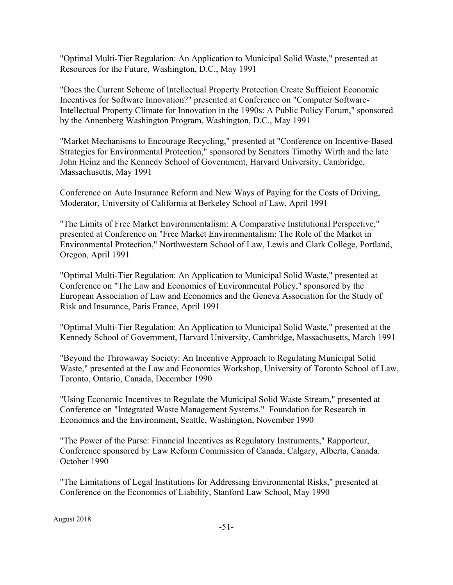"Optimal Multi-Tier Regulation: An Application to Municipal Solid Waste," presented at Resources for the Future, Washington, D.C., May 1991

"Does the Current Scheme of Intellectual Property Protection Create Sufficient Economic Incentives for Software Innovation?" presented at Conference on "Computer Software-Intellectual Property Climate for Innovation in the 1990s: A Public Policy Forum," sponsored by the Annenberg Washington Program, Washington, D.C., May 1991

"Market Mechanisms to Encourage Recycling," presented at "Conference on Incentive-Based Strategies for Environmental Protection," sponsored by Senators Timothy Wirth and the late John Heinz and the Kennedy School of Government, Harvard University, Cambridge, Massachusetts, May 1991

Conference on Auto Insurance Reform and New Ways of Paying for the Costs of Driving, Moderator, University of California at Berkeley School of Law, April 1991

"The Limits of Free Market Environmentalism: A Comparative Institutional Perspective," presented at Conference on "Free Market Environmentalism: The Role of the Market in Environmental Protection," Northwestern School of Law, Lewis and Clark College, Portland, Oregon, April 1991

"Optimal Multi-Tier Regulation: An Application to Municipal Solid Waste," presented at Conference on "The Law and Economics of Environmental Policy," sponsored by the European Association of Law and Economics and the Geneva Association for the Study of Risk and Insurance, Paris France, April 1991

"Optimal Multi-Tier Regulation: An Application to Municipal Solid Waste," presented at the Kennedy School of Government, Harvard University, Cambridge, Massachusetts, March 1991

"Beyond the Throwaway Society: An Incentive Approach to Regulating Municipal Solid Waste," presented at the Law and Economics Workshop, University of Toronto School of Law, Toronto, Ontario, Canada, December 1990

"Using Economic Incentives to Regulate the Municipal Solid Waste Stream," presented at Conference on "Integrated Waste Management Systems." Foundation for Research in Economics and the Environment, Seattle, Washington, November 1990

"The Power of the Purse: Financial Incentives as Regulatory Instruments," Rapporteur, Conference sponsored by Law Reform Commission of Canada, Calgary, Alberta, Canada. October 1990

"The Limitations of Legal Institutions for Addressing Environmental Risks," presented at Conference on the Economics of Liability, Stanford Law School, May 1990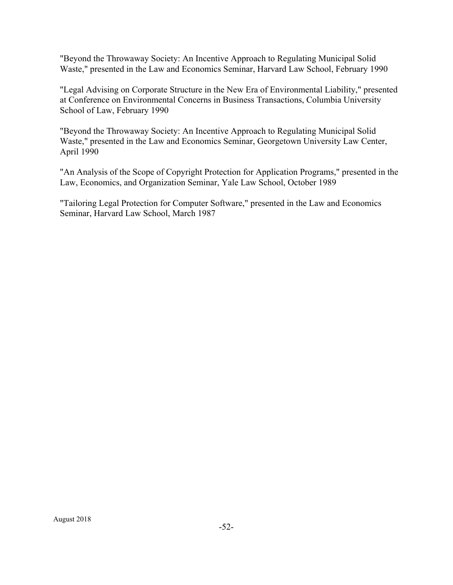"Beyond the Throwaway Society: An Incentive Approach to Regulating Municipal Solid Waste," presented in the Law and Economics Seminar, Harvard Law School, February 1990

"Legal Advising on Corporate Structure in the New Era of Environmental Liability," presented at Conference on Environmental Concerns in Business Transactions, Columbia University School of Law, February 1990

"Beyond the Throwaway Society: An Incentive Approach to Regulating Municipal Solid Waste," presented in the Law and Economics Seminar, Georgetown University Law Center, April 1990

"An Analysis of the Scope of Copyright Protection for Application Programs," presented in the Law, Economics, and Organization Seminar, Yale Law School, October 1989

"Tailoring Legal Protection for Computer Software," presented in the Law and Economics Seminar, Harvard Law School, March 1987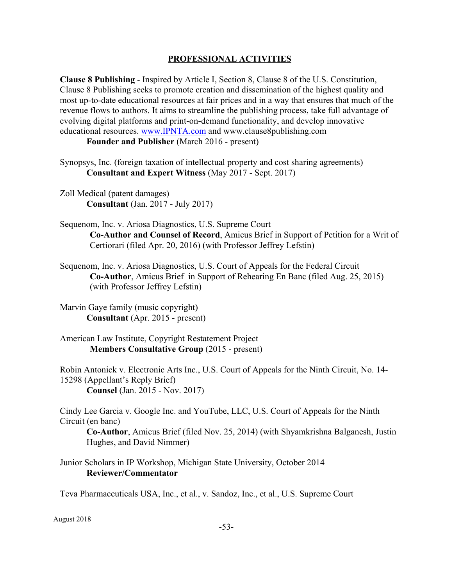#### **PROFESSIONAL ACTIVITIES**

**Clause 8 Publishing** - Inspired by Article I, Section 8, Clause 8 of the U.S. Constitution, Clause 8 Publishing seeks to promote creation and dissemination of the highest quality and most up-to-date educational resources at fair prices and in a way that ensures that much of the revenue flows to authors. It aims to streamline the publishing process, take full advantage of evolving digital platforms and print-on-demand functionality, and develop innovative educational resources. www.IPNTA.com and www.clause8publishing.com

**Founder and Publisher** (March 2016 - present)

- Synopsys, Inc. (foreign taxation of intellectual property and cost sharing agreements) **Consultant and Expert Witness** (May 2017 - Sept. 2017)
- Zoll Medical (patent damages) **Consultant** (Jan. 2017 - July 2017)
- Sequenom, Inc. v. Ariosa Diagnostics, U.S. Supreme Court **Co-Author and Counsel of Record**, Amicus Brief in Support of Petition for a Writ of Certiorari (filed Apr. 20, 2016) (with Professor Jeffrey Lefstin)
- Sequenom, Inc. v. Ariosa Diagnostics, U.S. Court of Appeals for the Federal Circuit **Co-Author**, Amicus Brief in Support of Rehearing En Banc (filed Aug. 25, 2015) (with Professor Jeffrey Lefstin)
- Marvin Gaye family (music copyright) **Consultant** (Apr. 2015 - present)
- American Law Institute, Copyright Restatement Project **Members Consultative Group** (2015 - present)

Robin Antonick v. Electronic Arts Inc., U.S. Court of Appeals for the Ninth Circuit, No. 14- 15298 (Appellant's Reply Brief) **Counsel** (Jan. 2015 - Nov. 2017)

Cindy Lee Garcia v. Google Inc. and YouTube, LLC, U.S. Court of Appeals for the Ninth Circuit (en banc)

**Co-Author**, Amicus Brief (filed Nov. 25, 2014) (with Shyamkrishna Balganesh, Justin Hughes, and David Nimmer)

Junior Scholars in IP Workshop, Michigan State University, October 2014 **Reviewer/Commentator**

Teva Pharmaceuticals USA, Inc., et al., v. Sandoz, Inc., et al., U.S. Supreme Court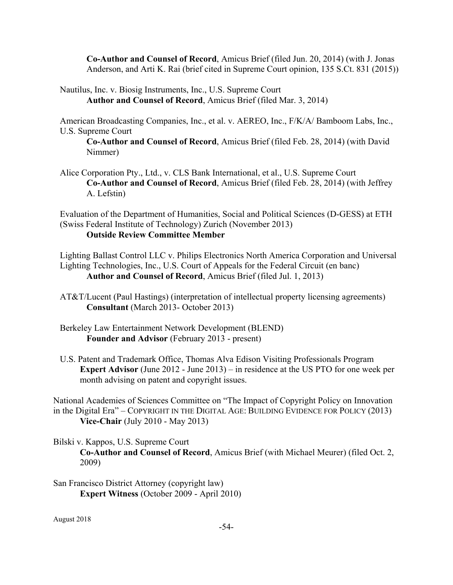**Co-Author and Counsel of Record**, Amicus Brief (filed Jun. 20, 2014) (with J. Jonas Anderson, and Arti K. Rai (brief cited in Supreme Court opinion, 135 S.Ct. 831 (2015))

Nautilus, Inc. v. Biosig Instruments, Inc., U.S. Supreme Court **Author and Counsel of Record**, Amicus Brief (filed Mar. 3, 2014)

American Broadcasting Companies, Inc., et al. v. AEREO, Inc., F/K/A/ Bamboom Labs, Inc., U.S. Supreme Court

**Co-Author and Counsel of Record**, Amicus Brief (filed Feb. 28, 2014) (with David Nimmer)

Alice Corporation Pty., Ltd., v. CLS Bank International, et al., U.S. Supreme Court **Co-Author and Counsel of Record**, Amicus Brief (filed Feb. 28, 2014) (with Jeffrey A. Lefstin)

Evaluation of the Department of Humanities, Social and Political Sciences (D-GESS) at ETH (Swiss Federal Institute of Technology) Zurich (November 2013) **Outside Review Committee Member**

Lighting Ballast Control LLC v. Philips Electronics North America Corporation and Universal Lighting Technologies, Inc., U.S. Court of Appeals for the Federal Circuit (en banc) **Author and Counsel of Record**, Amicus Brief (filed Jul. 1, 2013)

- AT&T/Lucent (Paul Hastings) (interpretation of intellectual property licensing agreements) **Consultant** (March 2013- October 2013)
- Berkeley Law Entertainment Network Development (BLEND) **Founder and Advisor** (February 2013 - present)
- U.S. Patent and Trademark Office, Thomas Alva Edison Visiting Professionals Program **Expert Advisor** (June 2012 - June 2013) – in residence at the US PTO for one week per month advising on patent and copyright issues.

National Academies of Sciences Committee on "The Impact of Copyright Policy on Innovation in the Digital Era" – COPYRIGHT IN THE DIGITAL AGE: BUILDING EVIDENCE FOR POLICY (2013) **Vice-Chair** (July 2010 - May 2013)

Bilski v. Kappos, U.S. Supreme Court

**Co-Author and Counsel of Record**, Amicus Brief (with Michael Meurer) (filed Oct. 2, 2009)

San Francisco District Attorney (copyright law) **Expert Witness** (October 2009 - April 2010)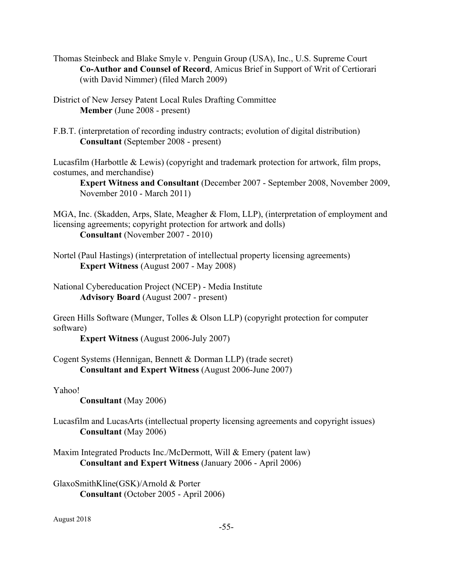Thomas Steinbeck and Blake Smyle v. Penguin Group (USA), Inc., U.S. Supreme Court **Co-Author and Counsel of Record**, Amicus Brief in Support of Writ of Certiorari (with David Nimmer) (filed March 2009)

District of New Jersey Patent Local Rules Drafting Committee **Member** (June 2008 - present)

F.B.T. (interpretation of recording industry contracts; evolution of digital distribution) **Consultant** (September 2008 - present)

Lucasfilm (Harbottle & Lewis) (copyright and trademark protection for artwork, film props, costumes, and merchandise)

**Expert Witness and Consultant** (December 2007 - September 2008, November 2009, November 2010 - March 2011)

MGA, Inc. (Skadden, Arps, Slate, Meagher & Flom, LLP), (interpretation of employment and licensing agreements; copyright protection for artwork and dolls) **Consultant** (November 2007 - 2010)

Nortel (Paul Hastings) (interpretation of intellectual property licensing agreements) **Expert Witness** (August 2007 - May 2008)

National Cybereducation Project (NCEP) - Media Institute **Advisory Board** (August 2007 - present)

Green Hills Software (Munger, Tolles & Olson LLP) (copyright protection for computer software)

**Expert Witness** (August 2006-July 2007)

Cogent Systems (Hennigan, Bennett & Dorman LLP) (trade secret) **Consultant and Expert Witness** (August 2006-June 2007)

Yahoo!

**Consultant** (May 2006)

Lucasfilm and LucasArts (intellectual property licensing agreements and copyright issues) **Consultant** (May 2006)

Maxim Integrated Products Inc./McDermott, Will & Emery (patent law) **Consultant and Expert Witness** (January 2006 - April 2006)

GlaxoSmithKline(GSK)/Arnold & Porter **Consultant** (October 2005 - April 2006)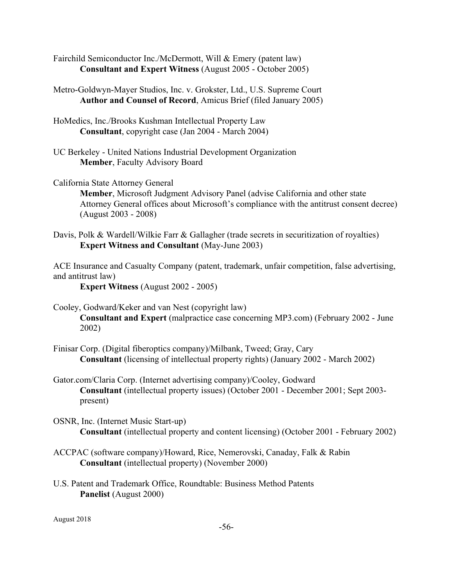- Fairchild Semiconductor Inc./McDermott, Will & Emery (patent law) **Consultant and Expert Witness** (August 2005 - October 2005)
- Metro-Goldwyn-Mayer Studios, Inc. v. Grokster, Ltd., U.S. Supreme Court **Author and Counsel of Record**, Amicus Brief (filed January 2005)
- HoMedics, Inc./Brooks Kushman Intellectual Property Law **Consultant**, copyright case (Jan 2004 - March 2004)
- UC Berkeley United Nations Industrial Development Organization **Member**, Faculty Advisory Board
- California State Attorney General

**Member**, Microsoft Judgment Advisory Panel (advise California and other state Attorney General offices about Microsoft's compliance with the antitrust consent decree) (August 2003 - 2008)

Davis, Polk & Wardell/Wilkie Farr & Gallagher (trade secrets in securitization of royalties) **Expert Witness and Consultant** (May-June 2003)

ACE Insurance and Casualty Company (patent, trademark, unfair competition, false advertising, and antitrust law)

**Expert Witness** (August 2002 - 2005)

Cooley, Godward/Keker and van Nest (copyright law)

**Consultant and Expert** (malpractice case concerning MP3.com) (February 2002 - June 2002)

- Finisar Corp. (Digital fiberoptics company)/Milbank, Tweed; Gray, Cary **Consultant** (licensing of intellectual property rights) (January 2002 - March 2002)
- Gator.com/Claria Corp. (Internet advertising company)/Cooley, Godward **Consultant** (intellectual property issues) (October 2001 - December 2001; Sept 2003 present)
- OSNR, Inc. (Internet Music Start-up) **Consultant** (intellectual property and content licensing) (October 2001 - February 2002)
- ACCPAC (software company)/Howard, Rice, Nemerovski, Canaday, Falk & Rabin **Consultant** (intellectual property) (November 2000)
- U.S. Patent and Trademark Office, Roundtable: Business Method Patents **Panelist** (August 2000)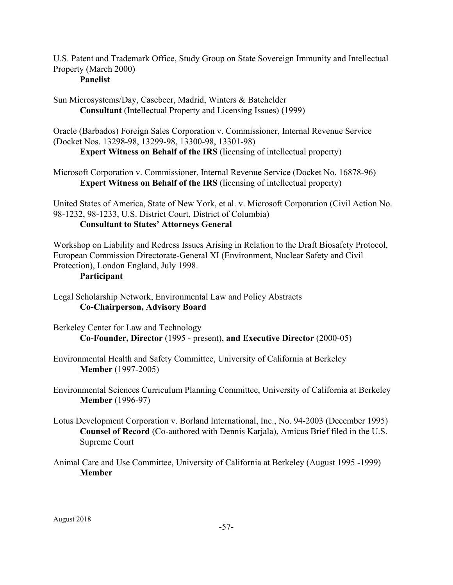U.S. Patent and Trademark Office, Study Group on State Sovereign Immunity and Intellectual Property (March 2000)

# **Panelist**

Sun Microsystems/Day, Casebeer, Madrid, Winters & Batchelder **Consultant** (Intellectual Property and Licensing Issues) (1999)

Oracle (Barbados) Foreign Sales Corporation v. Commissioner, Internal Revenue Service (Docket Nos. 13298-98, 13299-98, 13300-98, 13301-98)

**Expert Witness on Behalf of the IRS** (licensing of intellectual property)

Microsoft Corporation v. Commissioner, Internal Revenue Service (Docket No. 16878-96) **Expert Witness on Behalf of the IRS** (licensing of intellectual property)

United States of America, State of New York, et al. v. Microsoft Corporation (Civil Action No. 98-1232, 98-1233, U.S. District Court, District of Columbia)

# **Consultant to States' Attorneys General**

Workshop on Liability and Redress Issues Arising in Relation to the Draft Biosafety Protocol, European Commission Directorate-General XI (Environment, Nuclear Safety and Civil Protection), London England, July 1998.

# **Participant**

Legal Scholarship Network, Environmental Law and Policy Abstracts **Co-Chairperson, Advisory Board**

- Berkeley Center for Law and Technology **Co-Founder, Director** (1995 - present), **and Executive Director** (2000-05)
- Environmental Health and Safety Committee, University of California at Berkeley **Member** (1997-2005)
- Environmental Sciences Curriculum Planning Committee, University of California at Berkeley **Member** (1996-97)
- Lotus Development Corporation v. Borland International, Inc., No. 94-2003 (December 1995) **Counsel of Record** (Co-authored with Dennis Karjala), Amicus Brief filed in the U.S. Supreme Court
- Animal Care and Use Committee, University of California at Berkeley (August 1995 -1999) **Member**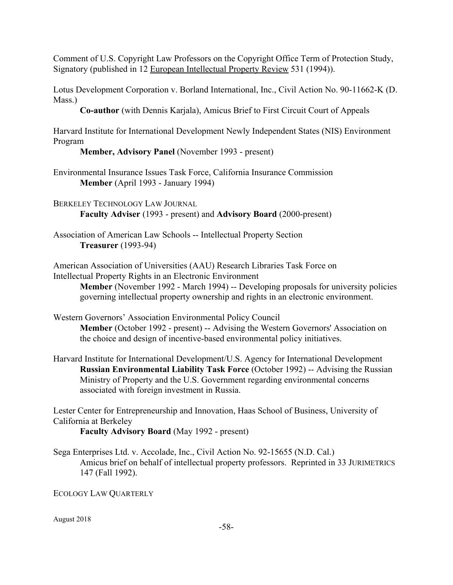Comment of U.S. Copyright Law Professors on the Copyright Office Term of Protection Study, Signatory (published in 12 European Intellectual Property Review 531 (1994)).

Lotus Development Corporation v. Borland International, Inc., Civil Action No. 90-11662-K (D. Mass.)

**Co-author** (with Dennis Karjala), Amicus Brief to First Circuit Court of Appeals

Harvard Institute for International Development Newly Independent States (NIS) Environment Program

# **Member, Advisory Panel** (November 1993 - present)

Environmental Insurance Issues Task Force, California Insurance Commission **Member** (April 1993 - January 1994)

BERKELEY TECHNOLOGY LAW JOURNAL **Faculty Adviser** (1993 - present) and **Advisory Board** (2000-present)

Association of American Law Schools -- Intellectual Property Section **Treasurer** (1993-94)

American Association of Universities (AAU) Research Libraries Task Force on Intellectual Property Rights in an Electronic Environment

**Member** (November 1992 - March 1994) -- Developing proposals for university policies governing intellectual property ownership and rights in an electronic environment.

- Western Governors' Association Environmental Policy Council **Member** (October 1992 - present) -- Advising the Western Governors' Association on the choice and design of incentive-based environmental policy initiatives.
- Harvard Institute for International Development/U.S. Agency for International Development **Russian Environmental Liability Task Force** (October 1992) -- Advising the Russian Ministry of Property and the U.S. Government regarding environmental concerns associated with foreign investment in Russia.

Lester Center for Entrepreneurship and Innovation, Haas School of Business, University of California at Berkeley

**Faculty Advisory Board** (May 1992 - present)

Sega Enterprises Ltd. v. Accolade, Inc., Civil Action No. 92-15655 (N.D. Cal.) Amicus brief on behalf of intellectual property professors. Reprinted in 33 JURIMETRICS 147 (Fall 1992).

ECOLOGY LAW QUARTERLY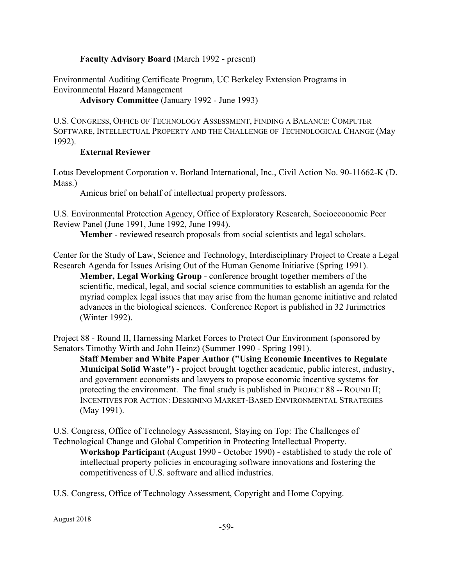### **Faculty Advisory Board** (March 1992 - present)

Environmental Auditing Certificate Program, UC Berkeley Extension Programs in Environmental Hazard Management

**Advisory Committee** (January 1992 - June 1993)

U.S. CONGRESS, OFFICE OF TECHNOLOGY ASSESSMENT, FINDING A BALANCE: COMPUTER SOFTWARE, INTELLECTUAL PROPERTY AND THE CHALLENGE OF TECHNOLOGICAL CHANGE (May 1992).

### **External Reviewer**

Lotus Development Corporation v. Borland International, Inc., Civil Action No. 90-11662-K (D. Mass.)

Amicus brief on behalf of intellectual property professors.

U.S. Environmental Protection Agency, Office of Exploratory Research, Socioeconomic Peer Review Panel (June 1991, June 1992, June 1994).

**Member** - reviewed research proposals from social scientists and legal scholars.

Center for the Study of Law, Science and Technology, Interdisciplinary Project to Create a Legal Research Agenda for Issues Arising Out of the Human Genome Initiative (Spring 1991).

**Member, Legal Working Group** - conference brought together members of the scientific, medical, legal, and social science communities to establish an agenda for the myriad complex legal issues that may arise from the human genome initiative and related advances in the biological sciences. Conference Report is published in 32 Jurimetrics (Winter 1992).

Project 88 - Round II, Harnessing Market Forces to Protect Our Environment (sponsored by Senators Timothy Wirth and John Heinz) (Summer 1990 - Spring 1991).

**Staff Member and White Paper Author ("Using Economic Incentives to Regulate Municipal Solid Waste")** - project brought together academic, public interest, industry, and government economists and lawyers to propose economic incentive systems for protecting the environment. The final study is published in PROJECT 88 -- ROUND II; INCENTIVES FOR ACTION: DESIGNING MARKET-BASED ENVIRONMENTAL STRATEGIES (May 1991).

U.S. Congress, Office of Technology Assessment, Staying on Top: The Challenges of Technological Change and Global Competition in Protecting Intellectual Property.

**Workshop Participant** (August 1990 - October 1990) - established to study the role of intellectual property policies in encouraging software innovations and fostering the competitiveness of U.S. software and allied industries.

U.S. Congress, Office of Technology Assessment, Copyright and Home Copying.